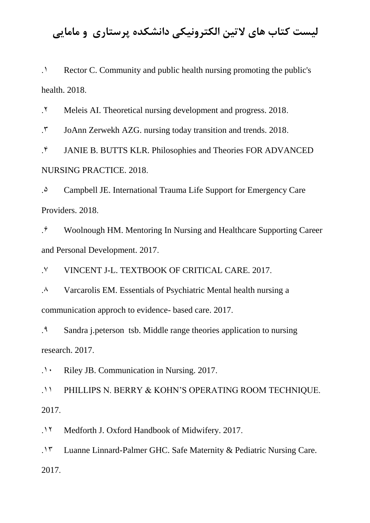.1 Rector C. Community and public health nursing promoting the public's health. 2018.

.2 Meleis AI. Theoretical nursing development and progress. 2018.

.3 JoAnn Zerwekh AZG. nursing today transition and trends. 2018.

.4 JANIE B. BUTTS KLR. Philosophies and Theories FOR ADVANCED NURSING PRACTICE. 2018.

.5 Campbell JE. International Trauma Life Support for Emergency Care Providers. 2018.

 $\mathcal{F}$  Woolnough HM. Mentoring In Nursing and Healthcare Supporting Career and Personal Development. 2017.

.7 VINCENT J-L. TEXTBOOK OF CRITICAL CARE. 2017.

.8 Varcarolis EM. Essentials of Psychiatric Mental health nursing a communication approch to evidence- based care. 2017.

.9 Sandra j.peterson tsb. Middle range theories application to nursing research. 2017.

.<sup>1</sup> Riley JB. Communication in Nursing. 2017.

.11 PHILLIPS N. BERRY & KOHN'S OPERATING ROOM TECHNIQUE. 2017.

.12 Medforth J. Oxford Handbook of Midwifery. 2017.

.13 Luanne Linnard-Palmer GHC. Safe Maternity & Pediatric Nursing Care. 2017.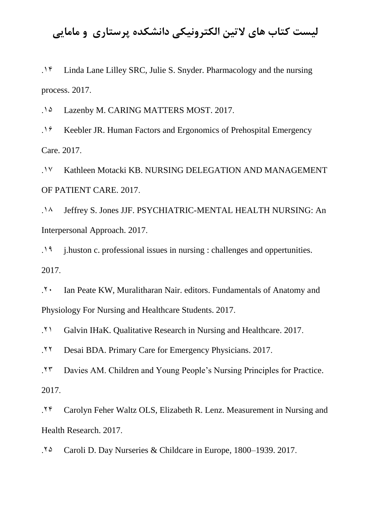.14 Linda Lane Lilley SRC, Julie S. Snyder. Pharmacology and the nursing process. 2017.

.<sup>1</sup><sup> $\triangle$ </sup> Lazenby M. CARING MATTERS MOST. 2017.

.<sup>16</sup> Keebler JR. Human Factors and Ergonomics of Prehospital Emergency Care. 2017.

.17 Kathleen Motacki KB. NURSING DELEGATION AND MANAGEMENT OF PATIENT CARE. 2017.

.18 Jeffrey S. Jones JJF. PSYCHIATRIC-MENTAL HEALTH NURSING: An Interpersonal Approach. 2017.

.19 j.huston c. professional issues in nursing : challenges and oppertunities. 2017.

.21 Ian Peate KW, Muralitharan Nair. editors. Fundamentals of Anatomy and Physiology For Nursing and Healthcare Students. 2017.

.21 Galvin IHaK. Qualitative Research in Nursing and Healthcare. 2017.

.22 Desai BDA. Primary Care for Emergency Physicians. 2017.

.23 Davies AM. Children and Young People's Nursing Principles for Practice. 2017.

.24 Carolyn Feher Waltz OLS, Elizabeth R. Lenz. Measurement in Nursing and Health Research. 2017.

.25 Caroli D. Day Nurseries & Childcare in Europe, 1800–1939. 2017.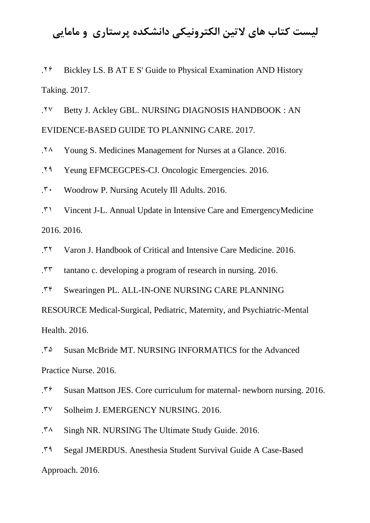.<sup>26</sup> Bickley LS. B AT E S' Guide to Physical Examination AND History Taking. 2017.

.27 Betty J. Ackley GBL. NURSING DIAGNOSIS HANDBOOK : AN EVIDENCE-BASED GUIDE TO PLANNING CARE. 2017.

.28 Young S. Medicines Management for Nurses at a Glance. 2016.

.29 Yeung EFMCEGCPES-CJ. Oncologic Emergencies. 2016.

.31 Woodrow P. Nursing Acutely Ill Adults. 2016.

.31 Vincent J-L. Annual Update in Intensive Care and EmergencyMedicine 2016. 2016.

.32 Varon J. Handbook of Critical and Intensive Care Medicine. 2016.

.33 tantano c. developing a program of research in nursing. 2016.

.34 Swearingen PL. ALL-IN-ONE NURSING CARE PLANNING

RESOURCE Medical-Surgical, Pediatric, Maternity, and Psychiatric-Mental Health. 2016.

.35 Susan McBride MT. NURSING INFORMATICS for the Advanced Practice Nurse. 2016.

 $.56$  Susan Mattson JES. Core curriculum for maternal- newborn nursing. 2016. .37 Solheim J. EMERGENCY NURSING. 2016.

.<sup>74</sup> Singh NR. NURSING The Ultimate Study Guide. 2016.

.39 Segal JMERDUS. Anesthesia Student Survival Guide A Case-Based Approach. 2016.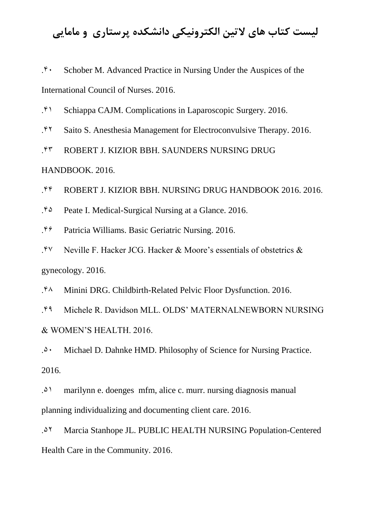$\mathcal{N}$ . Schober M. Advanced Practice in Nursing Under the Auspices of the International Council of Nurses. 2016.

.41 Schiappa CAJM. Complications in Laparoscopic Surgery. 2016.

.42 Saito S. Anesthesia Management for Electroconvulsive Therapy. 2016.

.43 ROBERT J. KIZIOR BBH. SAUNDERS NURSING DRUG

HANDBOOK. 2016.

.44 ROBERT J. KIZIOR BBH. NURSING DRUG HANDBOOK 2016. 2016.

.45 Peate I. Medical-Surgical Nursing at a Glance. 2016.

.46 Patricia Williams. Basic Geriatric Nursing. 2016.

 $.64$  Neville F. Hacker JCG. Hacker & Moore's essentials of obstetrics & gynecology. 2016.

.48 Minini DRG. Childbirth-Related Pelvic Floor Dysfunction. 2016.

.49 Michele R. Davidson MLL. OLDS' MATERNALNEWBORN NURSING & WOMEN'S HEALTH. 2016.

 $\therefore$ <sup>3</sup> Michael D. Dahnke HMD. Philosophy of Science for Nursing Practice. 2016.

.51 marilynn e. doenges mfm, alice c. murr. nursing diagnosis manual planning individualizing and documenting client care. 2016.

.52 Marcia Stanhope JL. PUBLIC HEALTH NURSING Population-Centered Health Care in the Community. 2016.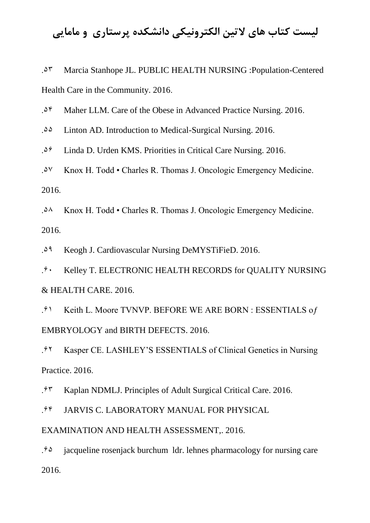.53 Marcia Stanhope JL. PUBLIC HEALTH NURSING :Population-Centered Health Care in the Community. 2016.

.54 Maher LLM. Care of the Obese in Advanced Practice Nursing. 2016.

.55 Linton AD. Introduction to Medical-Surgical Nursing. 2016.

.56 Linda D. Urden KMS. Priorities in Critical Care Nursing. 2016.

.57 Knox H. Todd • Charles R. Thomas J. Oncologic Emergency Medicine. 2016.

.58 Knox H. Todd • Charles R. Thomas J. Oncologic Emergency Medicine. 2016.

.59 Keogh J. Cardiovascular Nursing DeMYSTiFieD. 2016.

.<sup>6</sup> Kelley T. ELECTRONIC HEALTH RECORDS for OUALITY NURSING & HEALTH CARE. 2016.

.61 Keith L. Moore TVNVP. BEFORE WE ARE BORN : ESSENTIALS oƒ EMBRYOLOGY and BIRTH DEFECTS. 2016.

.62 Kasper CE. LASHLEY'S ESSENTIALS of Clinical Genetics in Nursing Practice. 2016.

 $.55$  Kaplan NDMLJ. Principles of Adult Surgical Critical Care. 2016.

.64 JARVIS C. LABORATORY MANUAL FOR PHYSICAL

EXAMINATION AND HEALTH ASSESSMENT,. 2016.

 $\ell^2$  jacqueline rosenjack burchum ldr. lehnes pharmacology for nursing care 2016.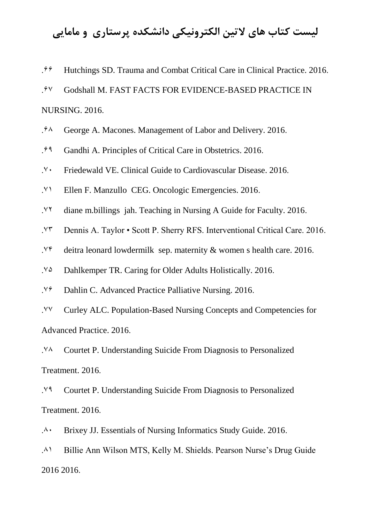|                | .77 Hutchings SD. Trauma and Combat Critical Care in Clinical Practice. 2016.     |
|----------------|-----------------------------------------------------------------------------------|
|                | . <sup>5</sup> <sup>Y</sup> Godshall M. FAST FACTS FOR EVIDENCE-BASED PRACTICE IN |
| NURSING. 2016. |                                                                                   |

- . $64$  George A. Macones. Management of Labor and Delivery. 2016.
- .69 Gandhi A. Principles of Critical Care in Obstetrics. 2016.
- .71 Friedewald VE. Clinical Guide to Cardiovascular Disease. 2016.
- .71 Ellen F. Manzullo CEG. Oncologic Emergencies. 2016.
- .72 diane m.billings jah. Teaching in Nursing A Guide for Faculty. 2016.
- .73 Dennis A. Taylor Scott P. Sherry RFS. Interventional Critical Care. 2016.
- .<sup> $\forall \hat{r}$ </sup> deitra leonard lowdermilk sep. maternity & women s health care. 2016.
- .75 Dahlkemper TR. Caring for Older Adults Holistically. 2016.
- .76 Dahlin C. Advanced Practice Palliative Nursing. 2016.
- .77 Curley ALC. Population-Based Nursing Concepts and Competencies for Advanced Practice. 2016.

.78 Courtet P. Understanding Suicide From Diagnosis to Personalized Treatment. 2016.

.79 Courtet P. Understanding Suicide From Diagnosis to Personalized Treatment. 2016.

.81 Brixey JJ. Essentials of Nursing Informatics Study Guide. 2016.

.81 Billie Ann Wilson MTS, Kelly M. Shields. Pearson Nurse's Drug Guide 2016 2016.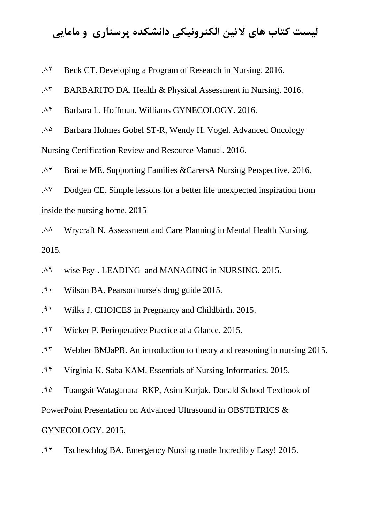.82 Beck CT. Developing a Program of Research in Nursing. 2016.

.83 BARBARITO DA. Health & Physical Assessment in Nursing. 2016.

.84 Barbara L. Hoffman. Williams GYNECOLOGY. 2016.

.85 Barbara Holmes Gobel ST-R, Wendy H. Vogel. Advanced Oncology Nursing Certification Review and Resource Manual. 2016.

 $.86$  Braine ME. Supporting Families &CarersA Nursing Perspective. 2016.

 $.8\%$  Dodgen CE. Simple lessons for a better life unexpected inspiration from inside the nursing home. 2015

.88 Wrycraft N. Assessment and Care Planning in Mental Health Nursing. 2015.

.89 wise Psy-. LEADING and MANAGING in NURSING. 2015.

 $\mathcal{N}$  Wilson BA. Pearson nurse's drug guide 2015.

.91 Wilks J. CHOICES in Pregnancy and Childbirth. 2015.

.92 Wicker P. Perioperative Practice at a Glance. 2015.

.93 Webber BMJaPB. An introduction to theory and reasoning in nursing 2015.

.94 Virginia K. Saba KAM. Essentials of Nursing Informatics. 2015.

.95 Tuangsit Wataganara RKP, Asim Kurjak. Donald School Textbook of

PowerPoint Presentation on Advanced Ultrasound in OBSTETRICS &

#### GYNECOLOGY. 2015.

.96 Tscheschlog BA. Emergency Nursing made Incredibly Easy! 2015.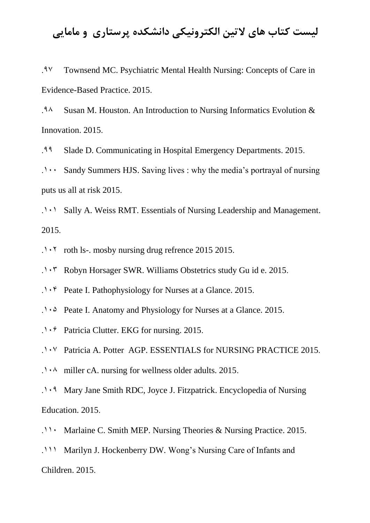.97 Townsend MC. Psychiatric Mental Health Nursing: Concepts of Care in Evidence-Based Practice. 2015.

.<sup>94</sup> Susan M. Houston. An Introduction to Nursing Informatics Evolution  $\&$ Innovation. 2015.

.99 Slade D. Communicating in Hospital Emergency Departments. 2015.

.<sup>1</sup>.111 Sandy Summers HJS. Saving lives : why the media's portrayal of nursing puts us all at risk 2015.

.<sup>1</sup>.1 Sally A. Weiss RMT. Essentials of Nursing Leadership and Management. 2015.

 $.1 \cdot 7$  roth ls-. mosby nursing drug refrence 2015 2015.

.<sup>1</sup> The Robyn Horsager SWR. Williams Obstetrics study Gu id e. 2015.

 $1 \cdot$  Peate I. Pathophysiology for Nurses at a Glance. 2015.

 $\cdot$ <sup>1</sup>  $\cdot$ <sup>5</sup> Peate I. Anatomy and Physiology for Nurses at a Glance. 2015.

 $1 \cdot \hat{z}$  Patricia Clutter. EKG for nursing. 2015.

.117 Patricia A. Potter AGP. ESSENTIALS for NURSING PRACTICE 2015.

 $\cdot$ <sup>1</sup>  $\cdot$ <sup>A</sup> miller cA. nursing for wellness older adults. 2015.

 $.119$  Mary Jane Smith RDC, Joyce J. Fitzpatrick. Encyclopedia of Nursing Education. 2015.

.<sup>11</sup> Marlaine C. Smith MEP. Nursing Theories & Nursing Practice. 2015.

.111 Marilyn J. Hockenberry DW. Wong's Nursing Care of Infants and Children. 2015.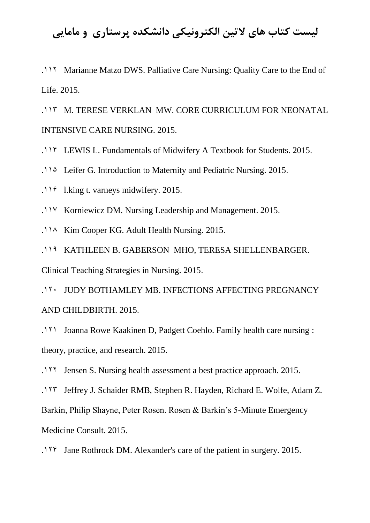.112 Marianne Matzo DWS. Palliative Care Nursing: Quality Care to the End of Life. 2015.

.113 M. TERESE VERKLAN MW. CORE CURRICULUM FOR NEONATAL INTENSIVE CARE NURSING. 2015.

- .114 LEWIS L. Fundamentals of Midwifery A Textbook for Students. 2015.
- .115 Leifer G. Introduction to Maternity and Pediatric Nursing. 2015.
- .116 l.king t. varneys midwifery. 2015.
- .117 Korniewicz DM. Nursing Leadership and Management. 2015.
- .118 Kim Cooper KG. Adult Health Nursing. 2015.
- .119 KATHLEEN B. GABERSON MHO, TERESA SHELLENBARGER.

Clinical Teaching Strategies in Nursing. 2015.

.17 JUDY BOTHAMLEY MB. INFECTIONS AFFECTING PREGNANCY AND CHILDBIRTH. 2015.

.121 Joanna Rowe Kaakinen D, Padgett Coehlo. Family health care nursing : theory, practice, and research. 2015.

.122 Jensen S. Nursing health assessment a best practice approach. 2015.

.123 Jeffrey J. Schaider RMB, Stephen R. Hayden, Richard E. Wolfe, Adam Z. Barkin, Philip Shayne, Peter Rosen. Rosen & Barkin's 5-Minute Emergency Medicine Consult. 2015.

.124 Jane Rothrock DM. Alexander's care of the patient in surgery. 2015.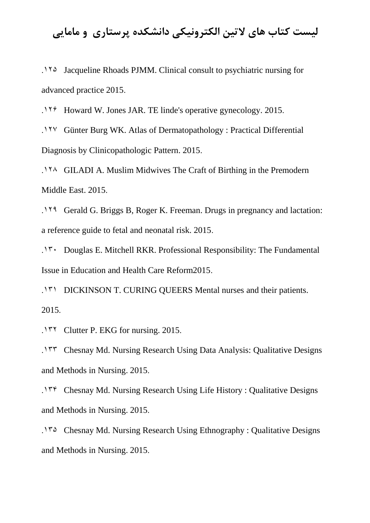.125 Jacqueline Rhoads PJMM. Clinical consult to psychiatric nursing for advanced practice 2015.

.126 Howard W. Jones JAR. TE linde's operative gynecology. 2015.

.127 Günter Burg WK. Atlas of Dermatopathology : Practical Differential Diagnosis by Clinicopathologic Pattern. 2015.

.128 GILADI A. Muslim Midwives The Craft of Birthing in the Premodern Middle East. 2015.

.129 Gerald G. Briggs B, Roger K. Freeman. Drugs in pregnancy and lactation: a reference guide to fetal and neonatal risk. 2015.

.131 Douglas E. Mitchell RKR. Professional Responsibility: The Fundamental Issue in Education and Health Care Reform2015.

.131 DICKINSON T. CURING QUEERS Mental nurses and their patients. 2015.

.<sup>132</sup> Clutter P. EKG for nursing. 2015.

.133 Chesnay Md. Nursing Research Using Data Analysis: Qualitative Designs and Methods in Nursing. 2015.

.<sup>144</sup> Chesnay Md. Nursing Research Using Life History : Qualitative Designs and Methods in Nursing. 2015.

.135 Chesnay Md. Nursing Research Using Ethnography : Qualitative Designs and Methods in Nursing. 2015.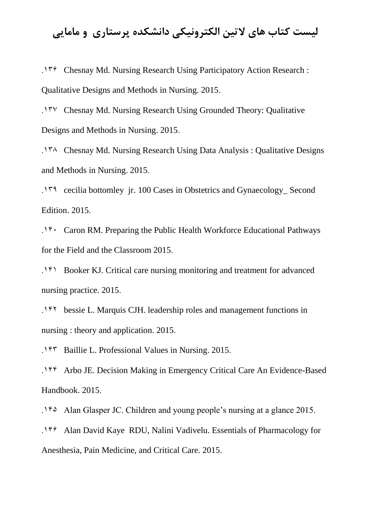.<sup>146</sup> Chesnay Md. Nursing Research Using Participatory Action Research : Qualitative Designs and Methods in Nursing. 2015.

.137 Chesnay Md. Nursing Research Using Grounded Theory: Qualitative Designs and Methods in Nursing. 2015.

.138 Chesnay Md. Nursing Research Using Data Analysis : Qualitative Designs and Methods in Nursing. 2015.

.139 cecilia bottomley jr. 100 Cases in Obstetrics and Gynaecology\_ Second Edition. 2015.

.<sup>14</sup> Caron RM. Preparing the Public Health Workforce Educational Pathways for the Field and the Classroom 2015.

.141 Booker KJ. Critical care nursing monitoring and treatment for advanced nursing practice. 2015.

.142 bessie L. Marquis CJH. leadership roles and management functions in nursing : theory and application. 2015.

.143 Baillie L. Professional Values in Nursing. 2015.

.144 Arbo JE. Decision Making in Emergency Critical Care An Evidence-Based Handbook. 2015.

.145 Alan Glasper JC. Children and young people's nursing at a glance 2015.

.146 Alan David Kaye RDU, Nalini Vadivelu. Essentials of Pharmacology for Anesthesia, Pain Medicine, and Critical Care. 2015.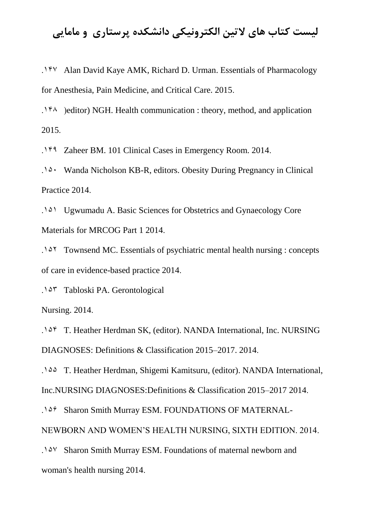.147 Alan David Kaye AMK, Richard D. Urman. Essentials of Pharmacology for Anesthesia, Pain Medicine, and Critical Care. 2015.

.<sup>144</sup> (editor) NGH. Health communication : theory, method, and application 2015.

.149 Zaheer BM. 101 Clinical Cases in Emergency Room. 2014.

.151 Wanda Nicholson KB-R, editors. Obesity During Pregnancy in Clinical Practice 2014.

.151 Ugwumadu A. Basic Sciences for Obstetrics and Gynaecology Core Materials for MRCOG Part 1 2014.

.152 Townsend MC. Essentials of psychiatric mental health nursing : concepts of care in evidence-based practice 2014.

.153 Tabloski PA. Gerontological

Nursing. 2014.

.154 T. Heather Herdman SK, (editor). NANDA International, Inc. NURSING DIAGNOSES: Definitions & Classification 2015–2017. 2014.

.155 T. Heather Herdman, Shigemi Kamitsuru, (editor). NANDA International, Inc.NURSING DIAGNOSES:Definitions & Classification 2015–2017 2014.

.156 Sharon Smith Murray ESM. FOUNDATIONS OF MATERNAL-

NEWBORN AND WOMEN'S HEALTH NURSING, SIXTH EDITION. 2014.

.157 Sharon Smith Murray ESM. Foundations of maternal newborn and woman's health nursing 2014.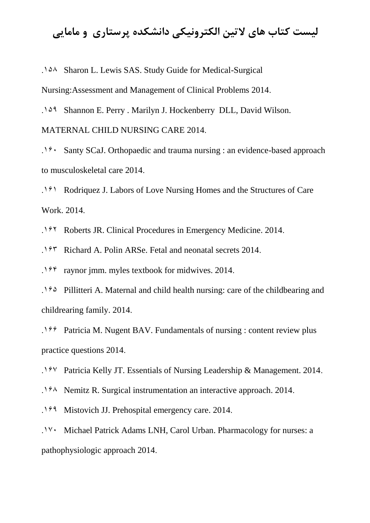.158 Sharon L. Lewis SAS. Study Guide for Medical-Surgical

Nursing:Assessment and Management of Clinical Problems 2014.

.159 Shannon E. Perry . Marilyn J. Hockenberry DLL, David Wilson.

MATERNAL CHILD NURSING CARE 2014.

.<sup>16</sup> Santy SCaJ. Orthopaedic and trauma nursing : an evidence-based approach to musculoskeletal care 2014.

.161 Rodriquez J. Labors of Love Nursing Homes and the Structures of Care Work. 2014.

.162 Roberts JR. Clinical Procedures in Emergency Medicine. 2014.

.163 Richard A. Polin ARSe. Fetal and neonatal secrets 2014.

.1 $54$  raynor jmm. myles textbook for midwives. 2014.

.164 Pillitteri A. Maternal and child health nursing: care of the childbearing and childrearing family. 2014.

.166 Patricia M. Nugent BAV. Fundamentals of nursing : content review plus practice questions 2014.

.167 Patricia Kelly JT. Essentials of Nursing Leadership & Management. 2014.

.<sup>164</sup> Nemitz R. Surgical instrumentation an interactive approach. 2014.

.169 Mistovich JJ. Prehospital emergency care. 2014.

.<sup>17</sup> Michael Patrick Adams LNH, Carol Urban. Pharmacology for nurses: a pathophysiologic approach 2014.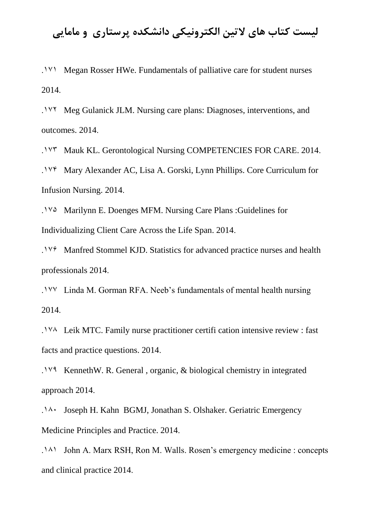.171 Megan Rosser HWe. Fundamentals of palliative care for student nurses 2014.

.172 Meg Gulanick JLM. Nursing care plans: Diagnoses, interventions, and outcomes. 2014.

.173 Mauk KL. Gerontological Nursing COMPETENCIES FOR CARE. 2014. .174 Mary Alexander AC, Lisa A. Gorski, Lynn Phillips. Core Curriculum for Infusion Nursing. 2014.

.175 Marilynn E. Doenges MFM. Nursing Care Plans :Guidelines for Individualizing Client Care Across the Life Span. 2014.

.176 Manfred Stommel KJD. Statistics for advanced practice nurses and health professionals 2014.

.177 Linda M. Gorman RFA. Neeb's fundamentals of mental health nursing 2014.

.178 Leik MTC. Family nurse practitioner certifi cation intensive review : fast facts and practice questions. 2014.

.179 KennethW. R. General , organic, & biological chemistry in integrated approach 2014.

.181 Joseph H. Kahn BGMJ, Jonathan S. Olshaker. Geriatric Emergency Medicine Principles and Practice. 2014.

.181 John A. Marx RSH, Ron M. Walls. Rosen's emergency medicine : concepts and clinical practice 2014.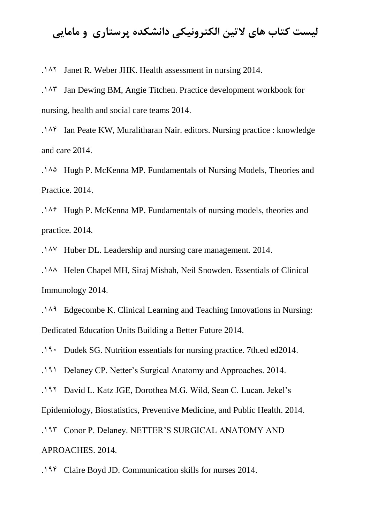.182 Janet R. Weber JHK. Health assessment in nursing 2014.

.183 Jan Dewing BM, Angie Titchen. Practice development workbook for nursing, health and social care teams 2014.

.184 Ian Peate KW, Muralitharan Nair. editors. Nursing practice : knowledge and care 2014.

.<sup>144</sup> Hugh P. McKenna MP. Fundamentals of Nursing Models, Theories and Practice. 2014.

.<sup>146</sup> Hugh P. McKenna MP. Fundamentals of nursing models, theories and practice. 2014.

.187 Huber DL. Leadership and nursing care management. 2014.

.188 Helen Chapel MH, Siraj Misbah, Neil Snowden. Essentials of Clinical Immunology 2014.

 $.149$  Edgecombe K. Clinical Learning and Teaching Innovations in Nursing: Dedicated Education Units Building a Better Future 2014.

.191 Dudek SG. Nutrition essentials for nursing practice. 7th.ed ed2014.

.191 Delaney CP. Netter's Surgical Anatomy and Approaches. 2014.

.192 David L. Katz JGE, Dorothea M.G. Wild, Sean C. Lucan. Jekel's

Epidemiology, Biostatistics, Preventive Medicine, and Public Health. 2014.

.193 Conor P. Delaney. NETTER'S SURGICAL ANATOMY AND

APROACHES. 2014.

.194 Claire Boyd JD. Communication skills for nurses 2014.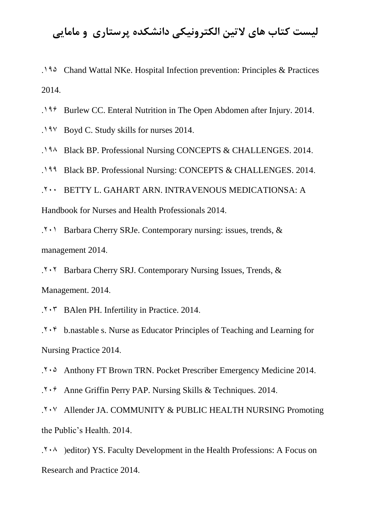.195 Chand Wattal NKe. Hospital Infection prevention: Principles & Practices 2014.

.196 Burlew CC. Enteral Nutrition in The Open Abdomen after Injury. 2014.

.197 Boyd C. Study skills for nurses 2014.

.198 Black BP. Professional Nursing CONCEPTS & CHALLENGES. 2014.

.199 Black BP. Professional Nursing: CONCEPTS & CHALLENGES. 2014.

.211 BETTY L. GAHART ARN. INTRAVENOUS MEDICATIONSA: A Handbook for Nurses and Health Professionals 2014.

.211 Barbara Cherry SRJe. Contemporary nursing: issues, trends, & management 2014.

.212 Barbara Cherry SRJ. Contemporary Nursing Issues, Trends, & Management. 2014.

.213 BAlen PH. Infertility in Practice. 2014.

.<sup> $1.4$ </sup> b.nastable s. Nurse as Educator Principles of Teaching and Learning for Nursing Practice 2014.

 $2014$ . Anthony FT Brown TRN. Pocket Prescriber Emergency Medicine 2014.

.216 Anne Griffin Perry PAP. Nursing Skills & Techniques. 2014.

.217 Allender JA. COMMUNITY & PUBLIC HEALTH NURSING Promoting the Public's Health. 2014.

 $21.8$  (editor) YS. Faculty Development in the Health Professions: A Focus on Research and Practice 2014.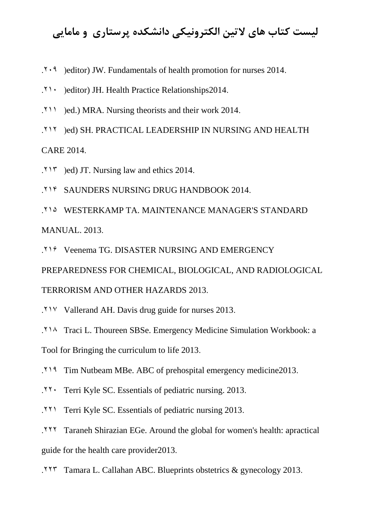- $21.1$ <sup>4</sup> (editor) JW. Fundamentals of health promotion for nurses 2014.
- .211 (editor) JH. Health Practice Relationships2014.
- .<sup>211</sup> (ed.) MRA. Nursing theorists and their work 2014.
- .212 (ed) SH. PRACTICAL LEADERSHIP IN NURSING AND HEALTH CARE 2014.
- $(2014.715)$  (ed) JT. Nursing law and ethics 2014.
- .214 SAUNDERS NURSING DRUG HANDBOOK 2014.
- .215 WESTERKAMP TA. MAINTENANCE MANAGER'S STANDARD MANUAL. 2013.
- .216 Veenema TG. DISASTER NURSING AND EMERGENCY
- PREPAREDNESS FOR CHEMICAL, BIOLOGICAL, AND RADIOLOGICAL
- TERRORISM AND OTHER HAZARDS 2013.
- .217 Vallerand AH. Davis drug guide for nurses 2013.
- .218 Traci L. Thoureen SBSe. Emergency Medicine Simulation Workbook: a Tool for Bringing the curriculum to life 2013.
- .219 Tim Nutbeam MBe. ABC of prehospital emergency medicine2013.
- .<sup>27</sup> Terri Kyle SC. Essentials of pediatric nursing. 2013.
- .221 Terri Kyle SC. Essentials of pediatric nursing 2013.
- .222 Taraneh Shirazian EGe. Around the global for women's health: apractical guide for the health care provider2013.
- .223 Tamara L. Callahan ABC. Blueprints obstetrics & gynecology 2013.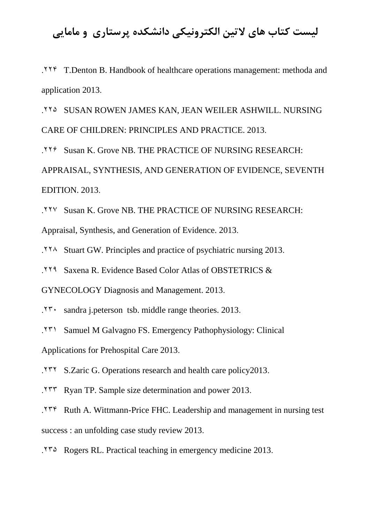.224 T.Denton B. Handbook of healthcare operations management: methoda and application 2013.

.225 SUSAN ROWEN JAMES KAN, JEAN WEILER ASHWILL. NURSING CARE OF CHILDREN: PRINCIPLES AND PRACTICE. 2013.

.<sup>226</sup> Susan K. Grove NB. THE PRACTICE OF NURSING RESEARCH: APPRAISAL, SYNTHESIS, AND GENERATION OF EVIDENCE, SEVENTH EDITION. 2013.

.227 Susan K. Grove NB. THE PRACTICE OF NURSING RESEARCH: Appraisal, Synthesis, and Generation of Evidence. 2013.

.228 Stuart GW. Principles and practice of psychiatric nursing 2013.

.<sup>229</sup> Saxena R. Evidence Based Color Atlas of OBSTETRICS &

GYNECOLOGY Diagnosis and Management. 2013.

.231 sandra j.peterson tsb. middle range theories. 2013.

.231 Samuel M Galvagno FS. Emergency Pathophysiology: Clinical Applications for Prehospital Care 2013.

.232 S.Zaric G. Operations research and health care policy2013.

.233 Ryan TP. Sample size determination and power 2013.

.234 Ruth A. Wittmann-Price FHC. Leadership and management in nursing test success : an unfolding case study review 2013.

.235 Rogers RL. Practical teaching in emergency medicine 2013.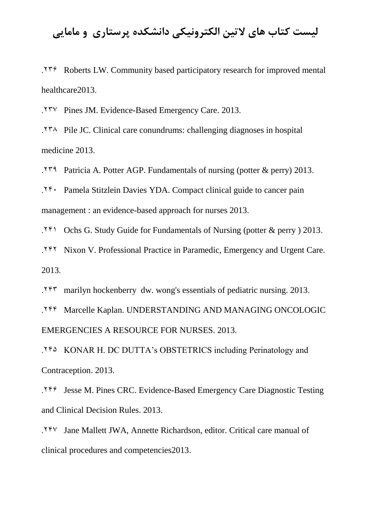.<sup>144</sup> Roberts LW. Community based participatory research for improved mental healthcare2013.

.237 Pines JM. Evidence-Based Emergency Care. 2013.

.<sup>248</sup> Pile JC. Clinical care conundrums: challenging diagnoses in hospital medicine 2013.

.<sup>249</sup> Patricia A. Potter AGP. Fundamentals of nursing (potter  $\&$  perry) 2013.

.241 Pamela Stitzlein Davies YDA. Compact clinical guide to cancer pain management : an evidence-based approach for nurses 2013.

.<sup>241</sup> Ochs G. Study Guide for Fundamentals of Nursing (potter  $\&$  perry ) 2013.

.242 Nixon V. Professional Practice in Paramedic, Emergency and Urgent Care. 2013.

.243 marilyn hockenberry dw. wong's essentials of pediatric nursing. 2013.

.244 Marcelle Kaplan. UNDERSTANDING AND MANAGING ONCOLOGIC EMERGENCIES A RESOURCE FOR NURSES. 2013.

.245 KONAR H. DC DUTTA's OBSTETRICS including Perinatology and Contraception. 2013.

.<sup>246</sup> Jesse M. Pines CRC. Evidence-Based Emergency Care Diagnostic Testing and Clinical Decision Rules. 2013.

.247 Jane Mallett JWA, Annette Richardson, editor. Critical care manual of clinical procedures and competencies2013.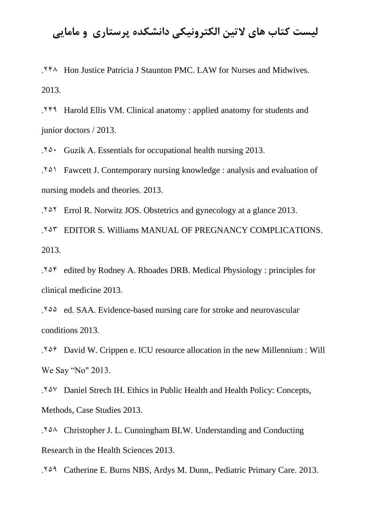.248 Hon Justice Patricia J Staunton PMC. LAW for Nurses and Midwives. 2013.

.249 Harold Ellis VM. Clinical anatomy : applied anatomy for students and junior doctors / 2013.

.<sup>24</sup> Guzik A. Essentials for occupational health nursing 2013.

.251 Fawcett J. Contemporary nursing knowledge : analysis and evaluation of nursing models and theories. 2013.

.252 Errol R. Norwitz JOS. Obstetrics and gynecology at a glance 2013.

.253 EDITOR S. Williams MANUAL OF PREGNANCY COMPLICATIONS. 2013.

.<sup>244</sup> edited by Rodney A. Rhoades DRB. Medical Physiology : principles for clinical medicine 2013.

.255 ed. SAA. Evidence-based nursing care for stroke and neurovascular conditions 2013.

.<sup>246</sup> David W. Crippen e. ICU resource allocation in the new Millennium : Will We Say "No" 2013.

.257 Daniel Strech IH. Ethics in Public Health and Health Policy: Concepts, Methods, Case Studies 2013.

.<sup>248</sup> Christopher J. L. Cunningham BLW. Understanding and Conducting Research in the Health Sciences 2013.

.259 Catherine E. Burns NBS, Ardys M. Dunn,. Pediatric Primary Care. 2013.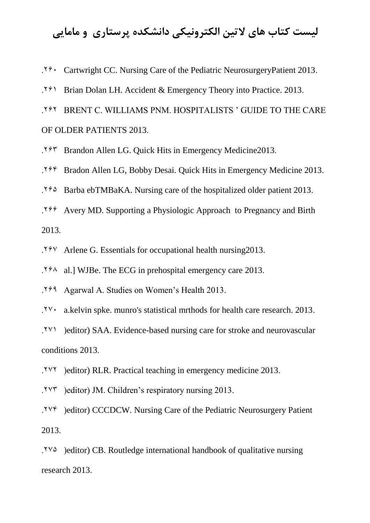.261 Cartwright CC. Nursing Care of the Pediatric NeurosurgeryPatient 2013.

.261 Brian Dolan LH. Accident & Emergency Theory into Practice. 2013.

.262 BRENT C. WILLIAMS PNM. HOSPITALISTS ' GUIDE TO THE CARE OF OLDER PATIENTS 2013.

.263 Brandon Allen LG. Quick Hits in Emergency Medicine2013.

.264 Bradon Allen LG, Bobby Desai. Quick Hits in Emergency Medicine 2013.

.<sup>26</sup> Barba ebTMBaKA. Nursing care of the hospitalized older patient 2013.

.<sup>266</sup> Avery MD. Supporting a Physiologic Approach to Pregnancy and Birth 2013.

.<sup>267</sup> Arlene G. Essentials for occupational health nursing 2013.

.<sup>268</sup> al.] WJBe. The ECG in prehospital emergency care 2013.

.269 Agarwal A. Studies on Women's Health 2013.

.<sup> $\gamma \vee \cdot$ </sup> a.kelvin spke. munro's statistical mrthods for health care research. 2013.

.271 (editor) SAA. Evidence-based nursing care for stroke and neurovascular conditions 2013.

 $.7<sup>4</sup>$  (editor) RLR. Practical teaching in emergency medicine 2013.

.273 (editor) JM. Children's respiratory nursing 2013.

.<sup> $1\forall$ 4</sup> (editor) CCCDCW. Nursing Care of the Pediatric Neurosurgery Patient 2013.

.<sup> $1\sqrt{2}$ </sup> (editor) CB. Routledge international handbook of qualitative nursing research 2013.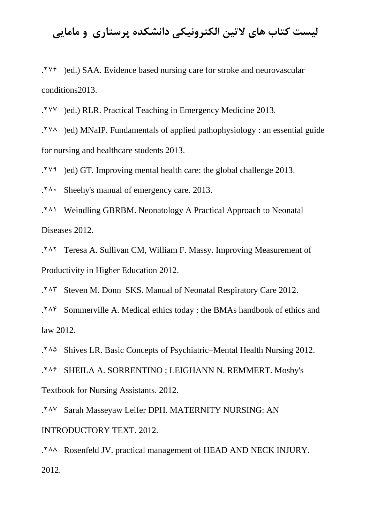.<sup> $1\sqrt{6}$ </sup> (ed.) SAA. Evidence based nursing care for stroke and neurovascular conditions2013.

.277 (ed.) RLR. Practical Teaching in Emergency Medicine 2013.

.<sup>278</sup> (ed) MNaIP. Fundamentals of applied pathophysiology : an essential guide for nursing and healthcare students 2013.

 $(2013.27)$  (ed) GT. Improving mental health care: the global challenge 2013.

 $.144$  Sheehy's manual of emergency care. 2013.

.281 Weindling GBRBM. Neonatology A Practical Approach to Neonatal Diseases 2012.

.282 Teresa A. Sullivan CM, William F. Massy. Improving Measurement of Productivity in Higher Education 2012.

.283 Steven M. Donn SKS. Manual of Neonatal Respiratory Care 2012.

.<sup> $7\text{AF}$ </sup> Sommerville A. Medical ethics today : the BMAs handbook of ethics and law 2012.

.285 Shives LR. Basic Concepts of Psychiatric–Mental Health Nursing 2012.

.286 SHEILA A. SORRENTINO ; LEIGHANN N. REMMERT. Mosby's Textbook for Nursing Assistants. 2012.

.287 Sarah Masseyaw Leifer DPH. MATERNITY NURSING: AN INTRODUCTORY TEXT. 2012.

.<sup>744</sup> Rosenfeld JV. practical management of HEAD AND NECK INJURY. 2012.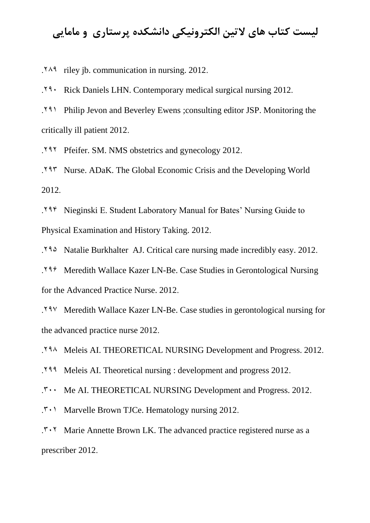.289 riley jb. communication in nursing. 2012.

.291 Rick Daniels LHN. Contemporary medical surgical nursing 2012.

.291 Philip Jevon and Beverley Ewens ;consulting editor JSP. Monitoring the critically ill patient 2012.

.292 Pfeifer. SM. NMS obstetrics and gynecology 2012.

.293 Nurse. ADaK. The Global Economic Crisis and the Developing World 2012.

.294 Nieginski E. Student Laboratory Manual for Bates' Nursing Guide to Physical Examination and History Taking. 2012.

.295 Natalie Burkhalter AJ. Critical care nursing made incredibly easy. 2012.

.296 Meredith Wallace Kazer LN-Be. Case Studies in Gerontological Nursing for the Advanced Practice Nurse. 2012.

.297 Meredith Wallace Kazer LN-Be. Case studies in gerontological nursing for the advanced practice nurse 2012.

.298 Meleis AI. THEORETICAL NURSING Development and Progress. 2012.

.299 Meleis AI. Theoretical nursing : development and progress 2012.

 $\cdot$ <sup>r</sup> $\cdot$  Me AI. THEORETICAL NURSING Development and Progress. 2012.

 $\cdot$ <sup>7</sup>.1 Marvelle Brown TJCe. Hematology nursing 2012.

 $.71$ <sup>7</sup> Marie Annette Brown LK. The advanced practice registered nurse as a prescriber 2012.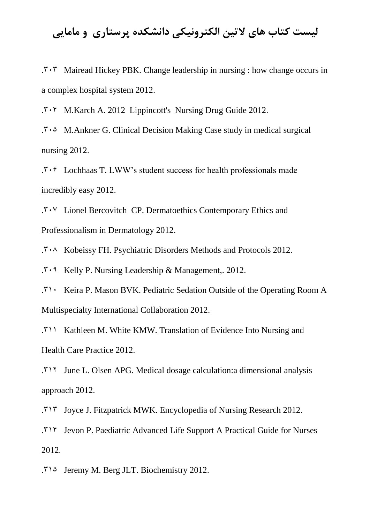$.513$ . Mairead Hickey PBK. Change leadership in nursing : how change occurs in a complex hospital system 2012.

.314 M.Karch A. 2012 Lippincott's Nursing Drug Guide 2012.

 $.5.6$  M.Ankner G. Clinical Decision Making Case study in medical surgical nursing 2012.

 $.516$ <sup>6</sup> Lochhaas T. LWW's student success for health professionals made incredibly easy 2012.

 $.7 \cdot V$  Lionel Bercovitch CP. Dermatoethics Contemporary Ethics and Professionalism in Dermatology 2012.

.318 Kobeissy FH. Psychiatric Disorders Methods and Protocols 2012.

 $\mathcal{F} \cdot$ <sup>9</sup> Kelly P. Nursing Leadership & Management,. 2012.

.<sup> $\mathbf{51}$ </sup> Keira P. Mason BVK. Pediatric Sedation Outside of the Operating Room A Multispecialty International Collaboration 2012.

.311 Kathleen M. White KMW. Translation of Evidence Into Nursing and Health Care Practice 2012.

 $.717$  June L. Olsen APG. Medical dosage calculation: a dimensional analysis approach 2012.

.313 Joyce J. Fitzpatrick MWK. Encyclopedia of Nursing Research 2012.

.314 Jevon P. Paediatric Advanced Life Support A Practical Guide for Nurses 2012.

.315 Jeremy M. Berg JLT. Biochemistry 2012.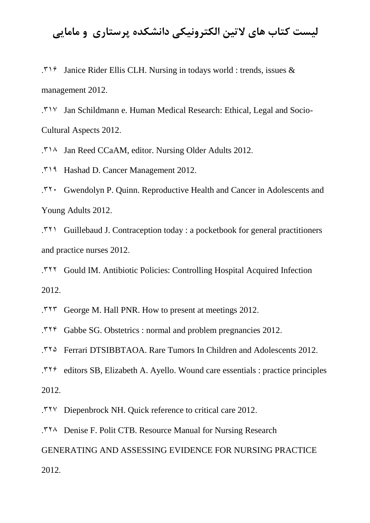.<sup> $\mathsf{M}$ </sup> Janice Rider Ellis CLH. Nursing in todays world : trends, issues & management 2012.

.317 Jan Schildmann e. Human Medical Research: Ethical, Legal and Socio-Cultural Aspects 2012.

.318 Jan Reed CCaAM, editor. Nursing Older Adults 2012.

.319 Hashad D. Cancer Management 2012.

 $.57 \cdot$  Gwendolyn P. Quinn. Reproductive Health and Cancer in Adolescents and Young Adults 2012.

 $.521$  Guillebaud J. Contraception today : a pocketbook for general practitioners and practice nurses 2012.

.322 Gould IM. Antibiotic Policies: Controlling Hospital Acquired Infection 2012.

.323 George M. Hall PNR. How to present at meetings 2012.

.324 Gabbe SG. Obstetrics : normal and problem pregnancies 2012.

.325 Ferrari DTSIBBTAOA. Rare Tumors In Children and Adolescents 2012.

.<sup> $586$ </sup> editors SB, Elizabeth A. Ayello. Wound care essentials : practice principles 2012.

.327 Diepenbrock NH. Quick reference to critical care 2012.

.328 Denise F. Polit CTB. Resource Manual for Nursing Research

GENERATING AND ASSESSING EVIDENCE FOR NURSING PRACTICE 2012.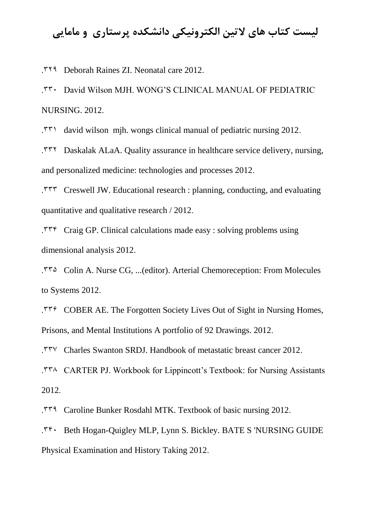.329 Deborah Raines ZI. Neonatal care 2012.

.331 David Wilson MJH. WONG'S CLINICAL MANUAL OF PEDIATRIC NURSING. 2012.

.331 david wilson mjh. wongs clinical manual of pediatric nursing 2012.

.332 Daskalak ALaA. Quality assurance in healthcare service delivery, nursing, and personalized medicine: technologies and processes 2012.

.333 Creswell JW. Educational research : planning, conducting, and evaluating quantitative and qualitative research / 2012.

.<sup> $577$ </sup> Craig GP. Clinical calculations made easy : solving problems using dimensional analysis 2012.

.335 Colin A. Nurse CG, ...(editor). Arterial Chemoreception: From Molecules to Systems 2012.

. $156$  COBER AE. The Forgotten Society Lives Out of Sight in Nursing Homes, Prisons, and Mental Institutions A portfolio of 92 Drawings. 2012.

.337 Charles Swanton SRDJ. Handbook of metastatic breast cancer 2012.

 $.533$  CARTER PJ. Workbook for Lippincott's Textbook: for Nursing Assistants 2012.

.339 Caroline Bunker Rosdahl MTK. Textbook of basic nursing 2012.

.341 Beth Hogan-Quigley MLP, Lynn S. Bickley. BATE S 'NURSING GUIDE Physical Examination and History Taking 2012.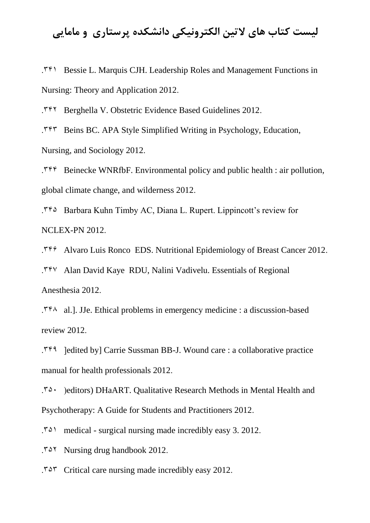.341 Bessie L. Marquis CJH. Leadership Roles and Management Functions in Nursing: Theory and Application 2012.

.342 Berghella V. Obstetric Evidence Based Guidelines 2012.

.343 Beins BC. APA Style Simplified Writing in Psychology, Education, Nursing, and Sociology 2012.

 $.544$  Beinecke WNRfbF. Environmental policy and public health : air pollution, global climate change, and wilderness 2012.

 $.545$  Barbara Kuhn Timby AC, Diana L. Rupert. Lippincott's review for NCLEX-PN 2012.

.346 Alvaro Luis Ronco EDS. Nutritional Epidemiology of Breast Cancer 2012. .347 Alan David Kaye RDU, Nalini Vadivelu. Essentials of Regional Anesthesia 2012.

.<sup> $\mu$ \*</sup> al.]. JJe. Ethical problems in emergency medicine : a discussion-based review 2012.

 $.549$  [edited by] Carrie Sussman BB-J. Wound care : a collaborative practice manual for health professionals 2012.

.<sup> $\sigma \Delta \cdot$ </sup> (editors) DHaART. Qualitative Research Methods in Mental Health and Psychotherapy: A Guide for Students and Practitioners 2012.

 $.51$  medical - surgical nursing made incredibly easy 3. 2012.

.352 Nursing drug handbook 2012.

.353 Critical care nursing made incredibly easy 2012.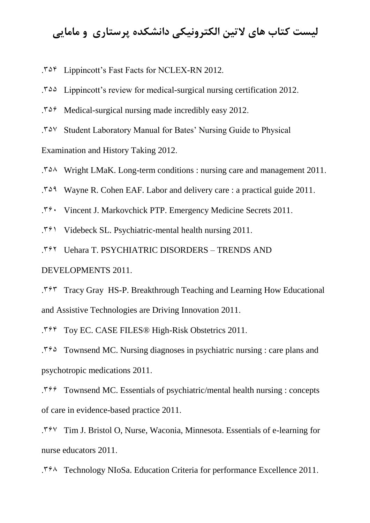.354 Lippincott's Fast Facts for NCLEX-RN 2012.

.355 Lippincott's review for medical-surgical nursing certification 2012.

 $.566$  Medical-surgical nursing made incredibly easy 2012.

.357 Student Laboratory Manual for Bates' Nursing Guide to Physical

Examination and History Taking 2012.

 $.588$  Wright LMaK. Long-term conditions : nursing care and management 2011.

.359 Wayne R. Cohen EAF. Labor and delivery care : a practical guide 2011.

.361 Vincent J. Markovchick PTP. Emergency Medicine Secrets 2011.

.361 Videbeck SL. Psychiatric-mental health nursing 2011.

.362 Uehara T. PSYCHIATRIC DISORDERS – TRENDS AND

DEVELOPMENTS 2011.

. $155$ <sup>Ter</sup> Tracy Gray HS-P. Breakthrough Teaching and Learning How Educational and Assistive Technologies are Driving Innovation 2011.

.764 Toy EC. CASE FILES® High-Risk Obstetrics 2011.

.<sup> $166$ </sup> Townsend MC. Nursing diagnoses in psychiatric nursing : care plans and psychotropic medications 2011.

.<sup> $166$ </sup> Townsend MC. Essentials of psychiatric/mental health nursing : concepts of care in evidence-based practice 2011.

.<sup> $77$ </sup> Tim J. Bristol O, Nurse, Waconia, Minnesota. Essentials of e-learning for nurse educators 2011.

.<sup> $168$ </sup> Technology NIoSa. Education Criteria for performance Excellence 2011.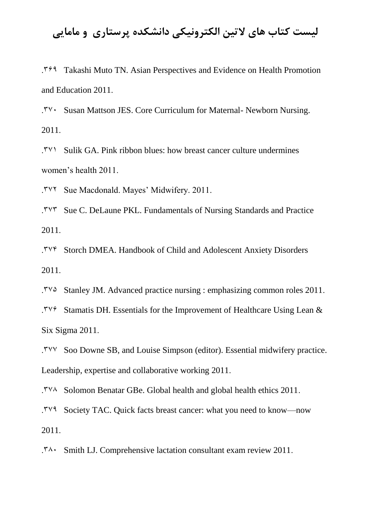.369 Takashi Muto TN. Asian Perspectives and Evidence on Health Promotion and Education 2011.

.<sup>TV</sup> Susan Mattson JES. Core Curriculum for Maternal- Newborn Nursing. 2011.

.371 Sulik GA. Pink ribbon blues: how breast cancer culture undermines women's health 2011.

.372 Sue Macdonald. Mayes' Midwifery. 2011.

.373 Sue C. DeLaune PKL. Fundamentals of Nursing Standards and Practice 2011.

.374 Storch DMEA. Handbook of Child and Adolescent Anxiety Disorders 2011.

 $.57\%$  Stanley JM. Advanced practice nursing : emphasizing common roles 2011.

.<sup> $7\sqrt{?}$ </sup> Stamatis DH. Essentials for the Improvement of Healthcare Using Lean & Six Sigma 2011.

.377 Soo Downe SB, and Louise Simpson (editor). Essential midwifery practice. Leadership, expertise and collaborative working 2011.

.378 Solomon Benatar GBe. Global health and global health ethics 2011.

.379 Society TAC. Quick facts breast cancer: what you need to know—now 2011.

 $.581$ . Smith LJ. Comprehensive lactation consultant exam review 2011.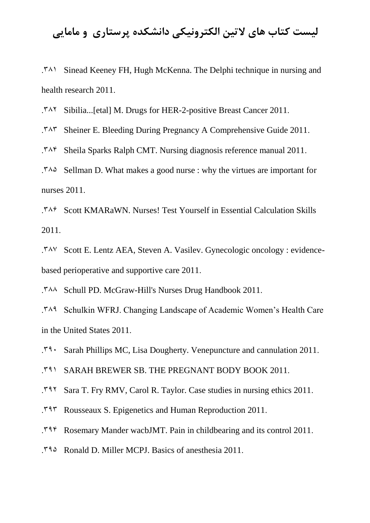$.581$  Sinead Keeney FH, Hugh McKenna. The Delphi technique in nursing and health research 2011.

.382 Sibilia...[etal] M. Drugs for HER-2-positive Breast Cancer 2011.

.383 Sheiner E. Bleeding During Pregnancy A Comprehensive Guide 2011.

.384 Sheila Sparks Ralph CMT. Nursing diagnosis reference manual 2011.

. $\mu \wedge \Delta$  Sellman D. What makes a good nurse : why the virtues are important for nurses 2011.

.386 Scott KMARaWN. Nurses! Test Yourself in Essential Calculation Skills 2011.

.387 Scott E. Lentz AEA, Steven A. Vasilev. Gynecologic oncology : evidencebased perioperative and supportive care 2011.

.388 Schull PD. McGraw-Hill's Nurses Drug Handbook 2011.

.389 Schulkin WFRJ. Changing Landscape of Academic Women's Health Care in the United States 2011.

 $.79 \cdot$  Sarah Phillips MC, Lisa Dougherty. Venepuncture and cannulation 2011.

.391 SARAH BREWER SB. THE PREGNANT BODY BOOK 2011.

.392 Sara T. Fry RMV, Carol R. Taylor. Case studies in nursing ethics 2011.

.393 Rousseaux S. Epigenetics and Human Reproduction 2011.

.394 Rosemary Mander wacbJMT. Pain in childbearing and its control 2011.

.395 Ronald D. Miller MCPJ. Basics of anesthesia 2011.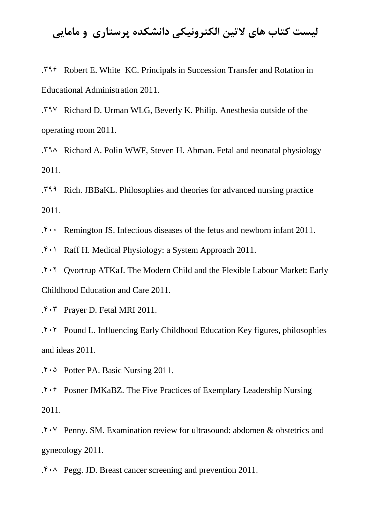.396 Robert E. White KC. Principals in Succession Transfer and Rotation in Educational Administration 2011.

.397 Richard D. Urman WLG, Beverly K. Philip. Anesthesia outside of the operating room 2011.

.<sup>79</sup> Richard A. Polin WWF, Steven H. Abman. Fetal and neonatal physiology 2011.

.399 Rich. JBBaKL. Philosophies and theories for advanced nursing practice 2011.

 $\cdot$ <sup>4</sup> $\cdot$  Remington JS. Infectious diseases of the fetus and newborn infant 2011.

.411 Raff H. Medical Physiology: a System Approach 2011.

.412 Qvortrup ATKaJ. The Modern Child and the Flexible Labour Market: Early Childhood Education and Care 2011.

 $.51$ . $.51$  Prayer D. Fetal MRI 2011.

 $.64$ <sup>e</sup>. Pound L. Influencing Early Childhood Education Key figures, philosophies and ideas 2011.

 $.41$ .4.415 Potter PA. Basic Nursing 2011.

 $.66$  Posner JMKaBZ. The Five Practices of Exemplary Leadership Nursing 2011.

 $.417 \cdot V$  Penny. SM. Examination review for ultrasound: abdomen & obstetrics and gynecology 2011.

 $.418$ .818 Pegg. JD. Breast cancer screening and prevention 2011.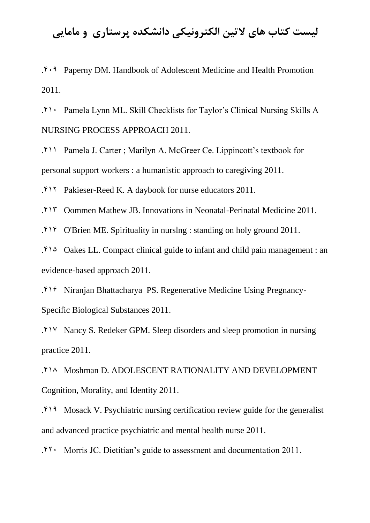.419 Paperny DM. Handbook of Adolescent Medicine and Health Promotion 2011.

.411 Pamela Lynn ML. Skill Checklists for Taylor's Clinical Nursing Skills A NURSING PROCESS APPROACH 2011.

.411 Pamela J. Carter ; Marilyn A. McGreer Ce. Lippincott's textbook for personal support workers : a humanistic approach to caregiving 2011.

.412 Pakieser-Reed K. A daybook for nurse educators 2011.

.413 Oommen Mathew JB. Innovations in Neonatal-Perinatal Medicine 2011.

.<sup> $416$ </sup> O'Brien ME. Spirituality in nurslng : standing on holy ground 2011.

. $115$  Oakes LL. Compact clinical guide to infant and child pain management : an evidence-based approach 2011.

.416 Niranjan Bhattacharya PS. Regenerative Medicine Using Pregnancy-Specific Biological Substances 2011.

.417 Nancy S. Redeker GPM. Sleep disorders and sleep promotion in nursing practice 2011.

.418 Moshman D. ADOLESCENT RATIONALITY AND DEVELOPMENT Cognition, Morality, and Identity 2011.

.419 Mosack V. Psychiatric nursing certification review guide for the generalist and advanced practice psychiatric and mental health nurse 2011.

 $.51$ . Morris JC. Dietitian's guide to assessment and documentation 2011.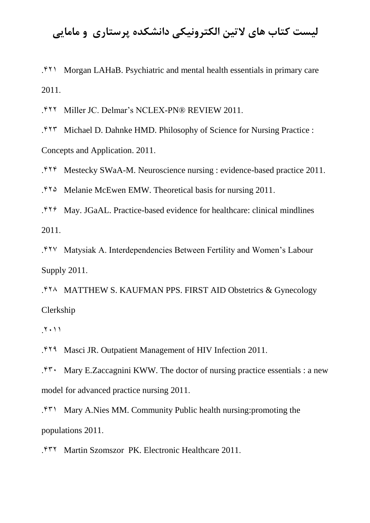.421 Morgan LAHaB. Psychiatric and mental health essentials in primary care 2011.

.422 Miller JC. Delmar's NCLEX-PN® REVIEW 2011.

.423 Michael D. Dahnke HMD. Philosophy of Science for Nursing Practice : Concepts and Application. 2011.

.424 Mestecky SWaA-M. Neuroscience nursing : evidence-based practice 2011.

.425 Melanie McEwen EMW. Theoretical basis for nursing 2011.

 $.626$  May. JGaAL. Practice-based evidence for healthcare: clinical mindlines 2011.

.427 Matysiak A. Interdependencies Between Fertility and Women's Labour Supply 2011.

.474 MATTHEW S. KAUFMAN PPS. FIRST AID Obstetrics & Gynecology Clerkship

.2111

.429 Masci JR. Outpatient Management of HIV Infection 2011.

 $.54$ <sup>.44</sup> Mary E.Zaccagnini KWW. The doctor of nursing practice essentials : a new model for advanced practice nursing 2011.

 $.551$  Mary A. Nies MM. Community Public health nursing: promoting the populations 2011.

.432 Martin Szomszor PK. Electronic Healthcare 2011.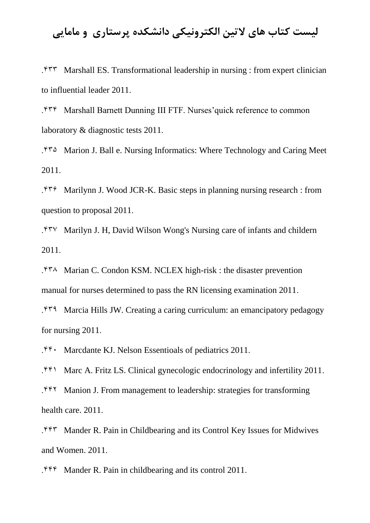$.533$  Marshall ES. Transformational leadership in nursing : from expert clinician to influential leader 2011.

.434 Marshall Barnett Dunning III FTF. Nurses'quick reference to common laboratory & diagnostic tests 2011.

.435 Marion J. Ball e. Nursing Informatics: Where Technology and Caring Meet 2011.

.436 Marilynn J. Wood JCR-K. Basic steps in planning nursing research : from question to proposal 2011.

.437 Marilyn J. H, David Wilson Wong's Nursing care of infants and childern 2011.

. $1488$  Marian C. Condon KSM. NCLEX high-risk : the disaster prevention manual for nurses determined to pass the RN licensing examination 2011.

.439 Marcia Hills JW. Creating a caring curriculum: an emancipatory pedagogy for nursing 2011.

 $.54$ <sup>.44</sup>. Marcdante KJ. Nelson Essentioals of pediatrics 2011.

 $.641$  Marc A. Fritz LS. Clinical gynecologic endocrinology and infertility 2011.

.442 Manion J. From management to leadership: strategies for transforming health care. 2011.

.443 Mander R. Pain in Childbearing and its Control Key Issues for Midwives and Women. 2011.

.444 Mander R. Pain in childbearing and its control 2011.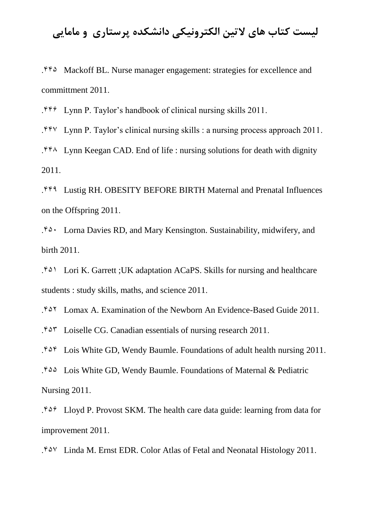$.445$  Mackoff BL. Nurse manager engagement: strategies for excellence and committment 2011.

. $1446$  Lynn P. Taylor's handbook of clinical nursing skills 2011.

.447 Lynn P. Taylor's clinical nursing skills : a nursing process approach 2011.

.<sup>448</sup> Lynn Keegan CAD. End of life : nursing solutions for death with dignity 2011.

.449 Lustig RH. OBESITY BEFORE BIRTH Maternal and Prenatal Influences on the Offspring 2011.

 $.64$  Lorna Davies RD, and Mary Kensington. Sustainability, midwifery, and birth 2011.

.451 Lori K. Garrett ;UK adaptation ACaPS. Skills for nursing and healthcare students : study skills, maths, and science 2011.

.452 Lomax A. Examination of the Newborn An Evidence-Based Guide 2011.

.453 Loiselle CG. Canadian essentials of nursing research 2011.

.454 Lois White GD, Wendy Baumle. Foundations of adult health nursing 2011.

.455 Lois White GD, Wendy Baumle. Foundations of Maternal & Pediatric Nursing 2011.

.  $66<sup>6</sup>$  Lloyd P. Provost SKM. The health care data guide: learning from data for improvement 2011.

.457 Linda M. Ernst EDR. Color Atlas of Fetal and Neonatal Histology 2011.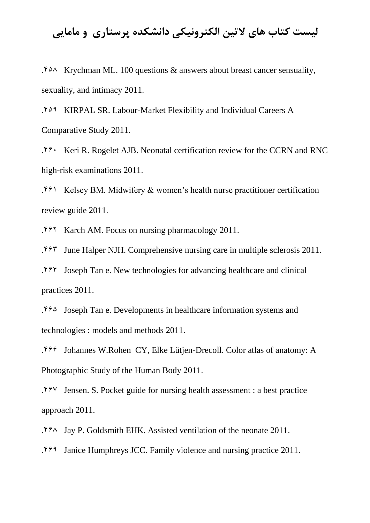. $48\lambda$  Krychman ML. 100 questions & answers about breast cancer sensuality, sexuality, and intimacy 2011.

.459 KIRPAL SR. Labour-Market Flexibility and Individual Careers A Comparative Study 2011.

.<sup>46</sup> Keri R. Rogelet AJB. Neonatal certification review for the CCRN and RNC high-risk examinations 2011.

.461 Kelsey BM. Midwifery & women's health nurse practitioner certification review guide 2011.

.462.422 Karch AM. Focus on nursing pharmacology 2011.

.463 June Halper NJH. Comprehensive nursing care in multiple sclerosis 2011.

. $167$  Joseph Tan e. New technologies for advancing healthcare and clinical practices 2011.

.465 Joseph Tan e. Developments in healthcare information systems and technologies : models and methods 2011.

.466 Johannes W.Rohen CY, Elke Lütjen-Drecoll. Color atlas of anatomy: A Photographic Study of the Human Body 2011.

.  $167$  Jensen. S. Pocket guide for nursing health assessment : a best practice approach 2011.

.4688 Jay P. Goldsmith EHK. Assisted ventilation of the neonate 2011.

. $1999$  Janice Humphreys JCC. Family violence and nursing practice 2011.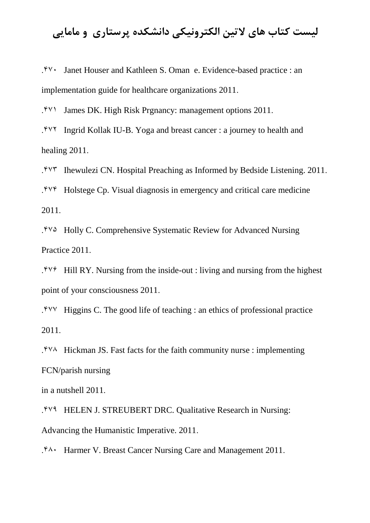.471 Janet Houser and Kathleen S. Oman e. Evidence-based practice : an implementation guide for healthcare organizations 2011.

.471 James DK. High Risk Prgnancy: management options 2011.

 $.647$  Ingrid Kollak IU-B. Yoga and breast cancer : a journey to health and healing 2011.

.473 Ihewulezi CN. Hospital Preaching as Informed by Bedside Listening. 2011.

 $.644$  Holstege Cp. Visual diagnosis in emergency and critical care medicine 2011.

 $.648$  Holly C. Comprehensive Systematic Review for Advanced Nursing Practice 2011.

.<sup> $4\sqrt{6}$ </sup> Hill RY. Nursing from the inside-out : living and nursing from the highest point of your consciousness 2011.

 $.6777$  Higgins C. The good life of teaching : an ethics of professional practice 2011.

. $48\%$  Hickman JS. Fast facts for the faith community nurse : implementing FCN/parish nursing

in a nutshell 2011.

.479 HELEN J. STREUBERT DRC. Qualitative Research in Nursing: Advancing the Humanistic Imperative. 2011.

. $4\cdot 4\cdot 4$  Harmer V. Breast Cancer Nursing Care and Management 2011.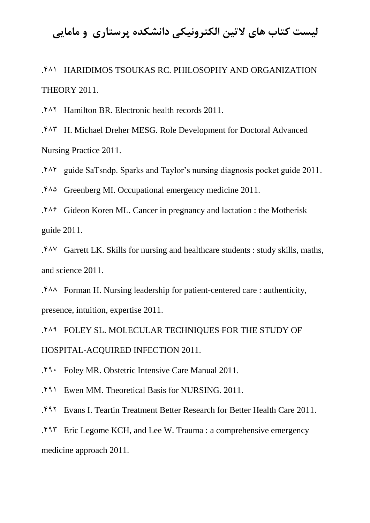.481 HARIDIMOS TSOUKAS RC. PHILOSOPHY AND ORGANIZATION THEORY 2011.

.482 Hamilton BR. Electronic health records 2011.

.483 H. Michael Dreher MESG. Role Development for Doctoral Advanced Nursing Practice 2011.

 $.646$  guide SaTsndp. Sparks and Taylor's nursing diagnosis pocket guide 2011.

 $.645$  Greenberg MI. Occupational emergency medicine 2011.

. $486$  Gideon Koren ML. Cancer in pregnancy and lactation : the Motherisk guide 2011.

. $487$  Garrett LK. Skills for nursing and healthcare students : study skills, maths, and science 2011.

 $.688$  Forman H. Nursing leadership for patient-centered care : authenticity, presence, intuition, expertise 2011.

.<sup>649</sup> FOLEY SL. MOLECULAR TECHNIQUES FOR THE STUDY OF HOSPITAL-ACQUIRED INFECTION 2011.

 $.59 \cdot$  Foley MR. Obstetric Intensive Care Manual 2011.

.491 Ewen MM. Theoretical Basis for NURSING. 2011.

.492 Evans I. Teartin Treatment Better Research for Better Health Care 2011.

 $.693$  Eric Legome KCH, and Lee W. Trauma : a comprehensive emergency medicine approach 2011.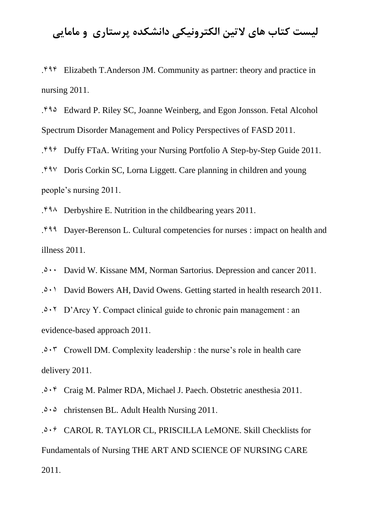$.494$  Elizabeth T.Anderson JM. Community as partner: theory and practice in nursing 2011.

.495 Edward P. Riley SC, Joanne Weinberg, and Egon Jonsson. Fetal Alcohol Spectrum Disorder Management and Policy Perspectives of FASD 2011.

.496 Duffy FTaA. Writing your Nursing Portfolio A Step-by-Step Guide 2011.

.497 Doris Corkin SC, Lorna Liggett. Care planning in children and young people's nursing 2011.

 $.69\%$  Derbyshire E. Nutrition in the childbearing years 2011.

.499 Dayer-Berenson L. Cultural competencies for nurses : impact on health and illness 2011.

 $.611$  David W. Kissane MM, Norman Sartorius. Depression and cancer 2011.

 $.511$  David Bowers AH, David Owens. Getting started in health research 2011.

 $.2 \cdot 7$  D'Arcy Y. Compact clinical guide to chronic pain management : an evidence-based approach 2011.

 $.81$ <sup>o</sup>.7 Crowell DM. Complexity leadership : the nurse's role in health care delivery 2011.

.514 Craig M. Palmer RDA, Michael J. Paech. Obstetric anesthesia 2011.

 $.6 \cdot \delta$  christensen BL. Adult Health Nursing 2011.

.516 CAROL R. TAYLOR CL, PRISCILLA LeMONE. Skill Checklists for Fundamentals of Nursing THE ART AND SCIENCE OF NURSING CARE 2011.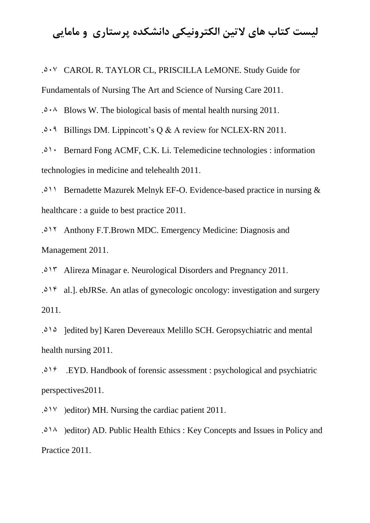#### .517 CAROL R. TAYLOR CL, PRISCILLA LeMONE. Study Guide for

Fundamentals of Nursing The Art and Science of Nursing Care 2011.

 $.6 \cdot \land$  Blows W. The biological basis of mental health nursing 2011.

.<sup> $0.9$ </sup> Billings DM. Lippincott's Q & A review for NCLEX-RN 2011.

.<sup> $\Delta$ 1</sup> Bernard Fong ACMF, C.K. Li. Telemedicine technologies : information technologies in medicine and telehealth 2011.

.511 Bernadette Mazurek Melnyk EF-O. Evidence-based practice in nursing & healthcare : a guide to best practice 2011.

.512 Anthony F.T.Brown MDC. Emergency Medicine: Diagnosis and Management 2011.

.513 Alireza Minagar e. Neurological Disorders and Pregnancy 2011.

 $.61$ <sup>6</sup> al.]. ebJRSe. An atlas of gynecologic oncology: investigation and surgery 2011.

.515 [edited by] Karen Devereaux Melillo SCH. Geropsychiatric and mental health nursing 2011.

 $.616$  . EYD. Handbook of forensic assessment : psychological and psychiatric perspectives2011.

.<sup> $\Delta$ 17</sup> (editor) MH. Nursing the cardiac patient 2011.

.<sup> $\Delta$ 1</sup><sup>A</sup> (editor) AD. Public Health Ethics : Key Concepts and Issues in Policy and Practice 2011.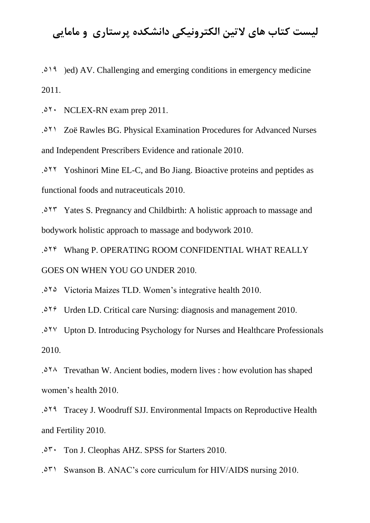$.619$  (ed) AV. Challenging and emerging conditions in emergency medicine 2011.

 $.87 \cdot$  NCLEX-RN exam prep 2011.

.521 Zoë Rawles BG. Physical Examination Procedures for Advanced Nurses and Independent Prescribers Evidence and rationale 2010.

.522 Yoshinori Mine EL-C, and Bo Jiang. Bioactive proteins and peptides as functional foods and nutraceuticals 2010.

.523 Yates S. Pregnancy and Childbirth: A holistic approach to massage and bodywork holistic approach to massage and bodywork 2010.

. <sup>374</sup> Whang P. OPERATING ROOM CONFIDENTIAL WHAT REALLY GOES ON WHEN YOU GO UNDER 2010.

.525 Victoria Maizes TLD. Women's integrative health 2010.

.526 Urden LD. Critical care Nursing: diagnosis and management 2010.

.527 Upton D. Introducing Psychology for Nurses and Healthcare Professionals 2010.

. $37\text{A}$  Trevathan W. Ancient bodies, modern lives : how evolution has shaped women's health 2010.

.529 Tracey J. Woodruff SJJ. Environmental Impacts on Reproductive Health and Fertility 2010.

.531 Ton J. Cleophas AHZ. SPSS for Starters 2010.

.531 Swanson B. ANAC's core curriculum for HIV/AIDS nursing 2010.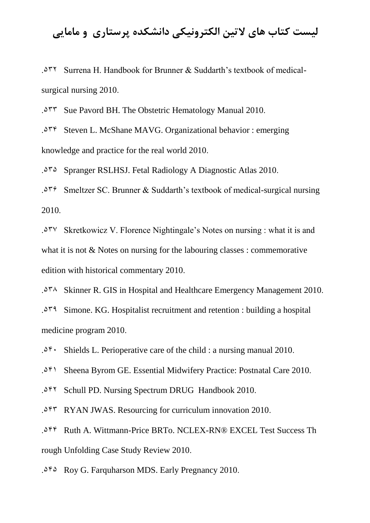.532 Surrena H. Handbook for Brunner & Suddarth's textbook of medicalsurgical nursing 2010.

.533 Sue Pavord BH. The Obstetric Hematology Manual 2010.

.534 Steven L. McShane MAVG. Organizational behavior : emerging knowledge and practice for the real world 2010.

.535 Spranger RSLHSJ. Fetal Radiology A Diagnostic Atlas 2010.

. $556$  Smeltzer SC. Brunner & Suddarth's textbook of medical-surgical nursing 2010.

.537 Skretkowicz V. Florence Nightingale's Notes on nursing : what it is and what it is not & Notes on nursing for the labouring classes : commemorative edition with historical commentary 2010.

 $.55\%$  Skinner R. GIS in Hospital and Healthcare Emergency Management 2010.

 $.879$  Simone. KG. Hospitalist recruitment and retention : building a hospital medicine program 2010.

 $.64$ <sup>.</sup> Shields L. Perioperative care of the child : a nursing manual 2010.

.541 Sheena Byrom GE. Essential Midwifery Practice: Postnatal Care 2010.

.542 Schull PD. Nursing Spectrum DRUG Handbook 2010.

.543 RYAN JWAS. Resourcing for curriculum innovation 2010.

.544 Ruth A. Wittmann-Price BRTo. NCLEX-RN® EXCEL Test Success Th rough Unfolding Case Study Review 2010.

.545 Roy G. Farquharson MDS. Early Pregnancy 2010.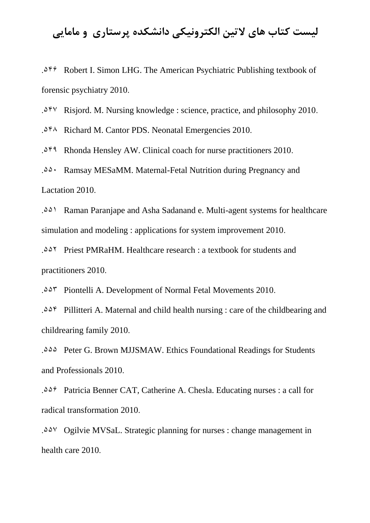. $546$  Robert I. Simon LHG. The American Psychiatric Publishing textbook of forensic psychiatry 2010.

.547 Risjord. M. Nursing knowledge : science, practice, and philosophy 2010.

.548 Richard M. Cantor PDS. Neonatal Emergencies 2010.

.549 Rhonda Hensley AW. Clinical coach for nurse practitioners 2010.

.551 Ramsay MESaMM. Maternal-Fetal Nutrition during Pregnancy and Lactation 2010.

.551 Raman Paranjape and Asha Sadanand e. Multi-agent systems for healthcare simulation and modeling : applications for system improvement 2010.

.552 Priest PMRaHM. Healthcare research : a textbook for students and practitioners 2010.

.553 Piontelli A. Development of Normal Fetal Movements 2010.

 $.524$  Pillitteri A. Maternal and child health nursing : care of the childbearing and childrearing family 2010.

.555 Peter G. Brown MJJSMAW. Ethics Foundational Readings for Students and Professionals 2010.

. $\Delta \Delta \hat{\tau}$  Patricia Benner CAT, Catherine A. Chesla. Educating nurses : a call for radical transformation 2010.

.557 Ogilvie MVSaL. Strategic planning for nurses : change management in health care 2010.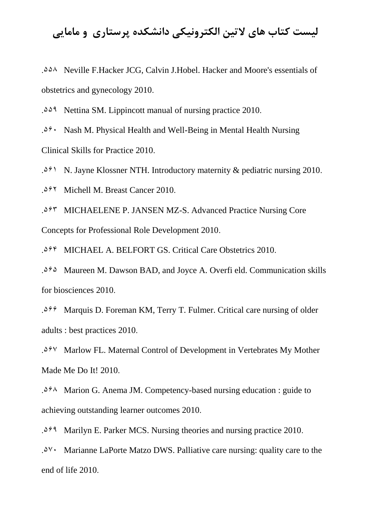.558 Neville F.Hacker JCG, Calvin J.Hobel. Hacker and Moore's essentials of obstetrics and gynecology 2010.

.559 Nettina SM. Lippincott manual of nursing practice 2010.

. $561$  Nash M. Physical Health and Well-Being in Mental Health Nursing Clinical Skills for Practice 2010.

. $561$  N. Jayne Klossner NTH. Introductory maternity & pediatric nursing 2010.

.562 Michell M. Breast Cancer 2010.

.563 MICHAELENE P. JANSEN MZ-S. Advanced Practice Nursing Core Concepts for Professional Role Development 2010.

.564 MICHAEL A. BELFORT GS. Critical Care Obstetrics 2010.

 $.662$  Maureen M. Dawson BAD, and Joyce A. Overfi eld. Communication skills for biosciences 2010.

 $.656$  Marquis D. Foreman KM, Terry T. Fulmer. Critical care nursing of older adults : best practices 2010.

.567 Marlow FL. Maternal Control of Development in Vertebrates My Mother Made Me Do It! 2010.

. $\delta$ <sup> $\delta$ </sup> Marion G. Anema JM. Competency-based nursing education : guide to achieving outstanding learner outcomes 2010.

.569 Marilyn E. Parker MCS. Nursing theories and nursing practice 2010.

 $.671$ . Marianne LaPorte Matzo DWS. Palliative care nursing: quality care to the end of life 2010.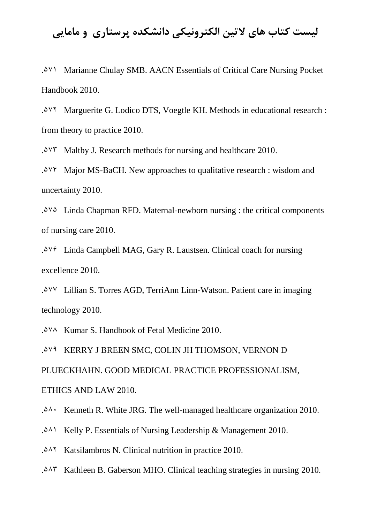.571 Marianne Chulay SMB. AACN Essentials of Critical Care Nursing Pocket Handbook 2010.

.572 Marguerite G. Lodico DTS, Voegtle KH. Methods in educational research : from theory to practice 2010.

.573 Maltby J. Research methods for nursing and healthcare 2010.

 $.674$  Major MS-BaCH. New approaches to qualitative research : wisdom and uncertainty 2010.

.575 Linda Chapman RFD. Maternal-newborn nursing : the critical components of nursing care 2010.

. $\Delta V^{\gamma}$  Linda Campbell MAG, Gary R. Laustsen. Clinical coach for nursing excellence 2010.

.577 Lillian S. Torres AGD, TerriAnn Linn-Watson. Patient care in imaging technology 2010.

.578 Kumar S. Handbook of Fetal Medicine 2010.

.579 KERRY J BREEN SMC, COLIN JH THOMSON, VERNON D

PLUECKHAHN. GOOD MEDICAL PRACTICE PROFESSIONALISM,

#### ETHICS AND LAW 2010.

. $\Delta \Lambda$ . Kenneth R. White JRG. The well-managed healthcare organization 2010.

.581 Kelly P. Essentials of Nursing Leadership & Management 2010.

.582 Katsilambros N. Clinical nutrition in practice 2010.

.583 Kathleen B. Gaberson MHO. Clinical teaching strategies in nursing 2010.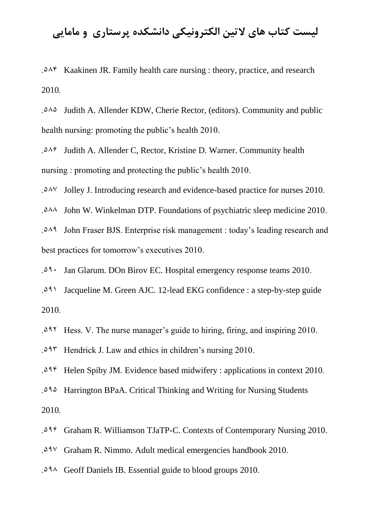$.84$ <sup>e</sup> Kaakinen JR. Family health care nursing : theory, practice, and research 2010.

.585 Judith A. Allender KDW, Cherie Rector, (editors). Community and public health nursing: promoting the public's health 2010.

.586 Judith A. Allender C, Rector, Kristine D. Warner. Community health nursing : promoting and protecting the public's health 2010.

.587 Jolley J. Introducing research and evidence-based practice for nurses 2010.

.588 John W. Winkelman DTP. Foundations of psychiatric sleep medicine 2010.

.589 John Fraser BJS. Enterprise risk management : today's leading research and best practices for tomorrow's executives 2010.

 $.89 \cdot$  Jan Glarum. DOn Birov EC. Hospital emergency response teams 2010.

.591 Jacqueline M. Green AJC. 12-lead EKG confidence : a step-by-step guide 2010.

.592 Hess. V. The nurse manager's guide to hiring, firing, and inspiring 2010.

.593 Hendrick J. Law and ethics in children's nursing 2010.

.594 Helen Spiby JM. Evidence based midwifery : applications in context 2010.

.595 Harrington BPaA. Critical Thinking and Writing for Nursing Students

2010.

.596 Graham R. Williamson TJaTP-C. Contexts of Contemporary Nursing 2010.

.597 Graham R. Nimmo. Adult medical emergencies handbook 2010.

.598 Geoff Daniels IB. Essential guide to blood groups 2010.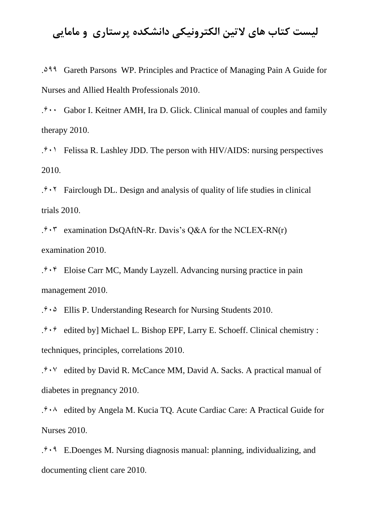.599 Gareth Parsons WP. Principles and Practice of Managing Pain A Guide for Nurses and Allied Health Professionals 2010.

 $.611$ . Gabor I. Keitner AMH, Ira D. Glick. Clinical manual of couples and family therapy 2010.

 $.611$  Felissa R. Lashley JDD. The person with HIV/AIDS: nursing perspectives 2010.

 $.612$ . Fairclough DL. Design and analysis of quality of life studies in clinical trials 2010.

 $.51$ <sup>6</sup> examination DsOAftN-Rr. Davis's O&A for the NCLEX-RN(r) examination 2010.

 $.616$  Eloise Carr MC, Mandy Layzell. Advancing nursing practice in pain management 2010.

 $.616$ . Ellis P. Understanding Research for Nursing Students 2010.

 $.6166$  edited by] Michael L. Bishop EPF, Larry E. Schoeff. Clinical chemistry : techniques, principles, correlations 2010.

 $.617 \cdot V$  edited by David R. McCance MM, David A. Sacks. A practical manual of diabetes in pregnancy 2010.

 $.618$ .818 edited by Angela M. Kucia TQ. Acute Cardiac Care: A Practical Guide for Nurses 2010.

 $.619$  E.Doenges M. Nursing diagnosis manual: planning, individualizing, and documenting client care 2010.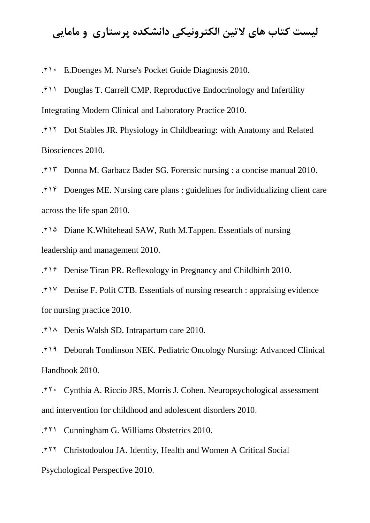.611 E.Doenges M. Nurse's Pocket Guide Diagnosis 2010.

. $f \cup \text{Douglas T. Carroll } \text{CMP. Reproductive Endocrinology and Infertility}$ Integrating Modern Clinical and Laboratory Practice 2010.

.612 Dot Stables JR. Physiology in Childbearing: with Anatomy and Related Biosciences 2010.

. $515$  Donna M. Garbacz Bader SG. Forensic nursing : a concise manual 2010.

 $.61\%$  Doenges ME. Nursing care plans : guidelines for individualizing client care across the life span 2010.

.614 Diane K.Whitehead SAW, Ruth M.Tappen. Essentials of nursing leadership and management 2010.

. $616$  Denise Tiran PR. Reflexology in Pregnancy and Childbirth 2010.

 $.61\%$  Denise F. Polit CTB. Essentials of nursing research : appraising evidence for nursing practice 2010.

.618 Denis Walsh SD. Intrapartum care 2010.

.619 Deborah Tomlinson NEK. Pediatric Oncology Nursing: Advanced Clinical Handbook 2010.

 $.67$  Cynthia A. Riccio JRS, Morris J. Cohen. Neuropsychological assessment and intervention for childhood and adolescent disorders 2010.

.621 Cunningham G. Williams Obstetrics 2010.

.622 Christodoulou JA. Identity, Health and Women A Critical Social Psychological Perspective 2010.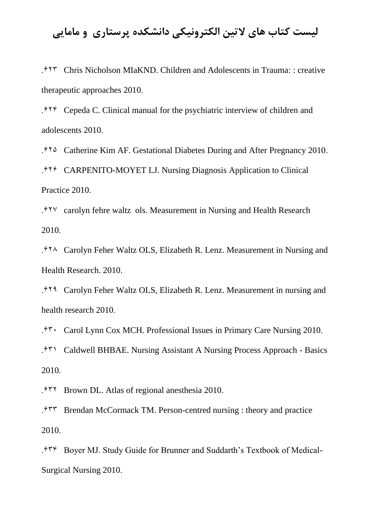.<sup>633</sup> Chris Nicholson MIaKND. Children and Adolescents in Trauma: : creative therapeutic approaches 2010.

 $.624$  Cepeda C. Clinical manual for the psychiatric interview of children and adolescents 2010.

. $625$  Catherine Kim AF. Gestational Diabetes During and After Pregnancy 2010. .<sup>616</sup> CARPENITO-MOYET LJ. Nursing Diagnosis Application to Clinical Practice 2010.

 $.627$  carolyn fehre waltz ols. Measurement in Nursing and Health Research 2010.

. $67\%$  Carolyn Feher Waltz OLS, Elizabeth R. Lenz. Measurement in Nursing and Health Research. 2010.

 $.629$  Carolyn Feher Waltz OLS, Elizabeth R. Lenz. Measurement in nursing and health research 2010.

.631 Carol Lynn Cox MCH. Professional Issues in Primary Care Nursing 2010.

. $54$ <sup>T</sup> Caldwell BHBAE. Nursing Assistant A Nursing Process Approach - Basics 2010.

 $.543$  Brown DL. Atlas of regional anesthesia 2010.

 $.54\text{°}$  Brendan McCormack TM. Person-centred nursing : theory and practice 2010.

.634 Boyer MJ. Study Guide for Brunner and Suddarth's Textbook of Medical-Surgical Nursing 2010.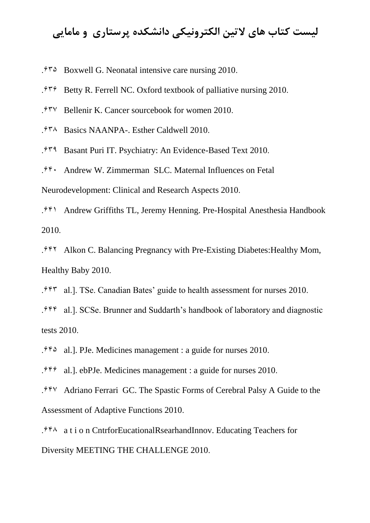$.54\degree$  Boxwell G. Neonatal intensive care nursing 2010.

. $545$  Betty R. Ferrell NC. Oxford textbook of palliative nursing 2010.

.637 Bellenir K. Cancer sourcebook for women 2010.

.<sup>64</sup>N Basics NAANPA-. Esther Caldwell 2010.

.639 Basant Puri IT. Psychiatry: An Evidence-Based Text 2010.

.641 Andrew W. Zimmerman SLC. Maternal Influences on Fetal

Neurodevelopment: Clinical and Research Aspects 2010.

.641 Andrew Griffiths TL, Jeremy Henning. Pre-Hospital Anesthesia Handbook 2010.

.642 Alkon C. Balancing Pregnancy with Pre-Existing Diabetes:Healthy Mom, Healthy Baby 2010.

 $.545$  al. TSe. Canadian Bates' guide to health assessment for nurses 2010.

 $.646$  al. SCSe. Brunner and Suddarth's handbook of laboratory and diagnostic tests 2010.

 $.646$  al.]. PJe. Medicines management : a guide for nurses 2010.

. $546$  al. l. ebPJe. Medicines management : a guide for nurses 2010.

 $.647$  Adriano Ferrari GC. The Spastic Forms of Cerebral Palsy A Guide to the Assessment of Adaptive Functions 2010.

. $548$  a t i o n CntrforEucationalRsearhandInnov. Educating Teachers for Diversity MEETING THE CHALLENGE 2010.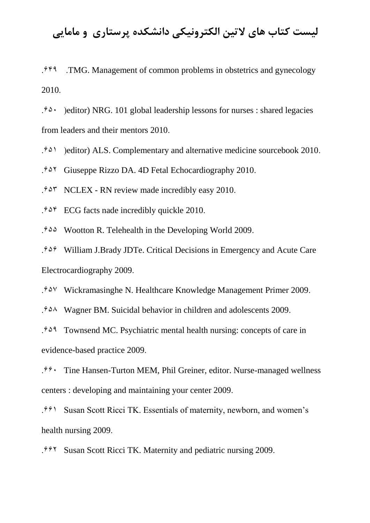$.649$ . TMG. Management of common problems in obstetrics and gynecology 2010.

.<sup> $64 \cdot$ </sup> (editor) NRG. 101 global leadership lessons for nurses : shared legacies from leaders and their mentors 2010.

 $.651$  (editor) ALS. Complementary and alternative medicine sourcebook 2010.

 $.62$ <sup>7</sup> Giuseppe Rizzo DA. 4D Fetal Echocardiography 2010.

 $.65$ <sup>o</sup> NCLEX - RN review made incredibly easy 2010.

 $.64$ <sup>6</sup> ECG facts nade incredibly quickle 2010.

.655 Wootton R. Telehealth in the Developing World 2009.

. $626$  William J.Brady JDTe. Critical Decisions in Emergency and Acute Care Electrocardiography 2009.

.657 Wickramasinghe N. Healthcare Knowledge Management Primer 2009.

 $.64$  Wagner BM. Suicidal behavior in children and adolescents 2009.

 $.629$  Townsend MC. Psychiatric mental health nursing: concepts of care in evidence-based practice 2009.

. $661$  Tine Hansen-Turton MEM, Phil Greiner, editor. Nurse-managed wellness centers : developing and maintaining your center 2009.

. $661$  Susan Scott Ricci TK. Essentials of maternity, newborn, and women's health nursing 2009.

.662 Susan Scott Ricci TK. Maternity and pediatric nursing 2009.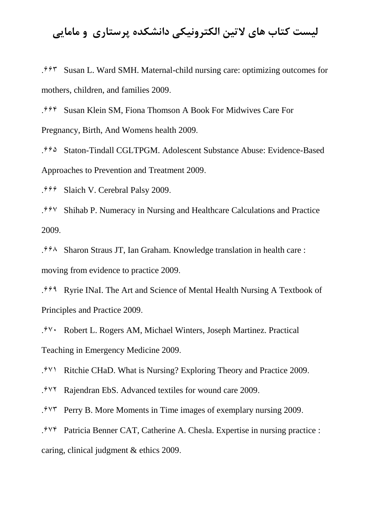$.665$  Susan L. Ward SMH. Maternal-child nursing care: optimizing outcomes for mothers, children, and families 2009.

.664 Susan Klein SM, Fiona Thomson A Book For Midwives Care For Pregnancy, Birth, And Womens health 2009.

.665 Staton-Tindall CGLTPGM. Adolescent Substance Abuse: Evidence-Based Approaches to Prevention and Treatment 2009.

.666 Slaich V. Cerebral Palsy 2009.

 $.667$  Shihab P. Numeracy in Nursing and Healthcare Calculations and Practice 2009.

.6688 Sharon Straus JT, Ian Graham. Knowledge translation in health care : moving from evidence to practice 2009.

.669 Ryrie INaI. The Art and Science of Mental Health Nursing A Textbook of Principles and Practice 2009.

.671 Robert L. Rogers AM, Michael Winters, Joseph Martinez. Practical Teaching in Emergency Medicine 2009.

 $.67$ <sup>1</sup> Ritchie CHaD. What is Nursing? Exploring Theory and Practice 2009.

.672 Rajendran EbS. Advanced textiles for wound care 2009.

 $.5\%$  Perry B. More Moments in Time images of exemplary nursing 2009.

.674 Patricia Benner CAT, Catherine A. Chesla. Expertise in nursing practice : caring, clinical judgment & ethics 2009.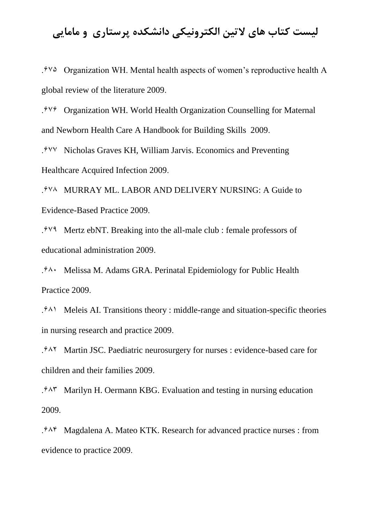. $6\%$  Organization WH. Mental health aspects of women's reproductive health A global review of the literature 2009.

. $5\sqrt{6}$  Organization WH. World Health Organization Counselling for Maternal and Newborn Health Care A Handbook for Building Skills 2009.

.677 Nicholas Graves KH, William Jarvis. Economics and Preventing Healthcare Acquired Infection 2009.

.678 MURRAY ML. LABOR AND DELIVERY NURSING: A Guide to Evidence-Based Practice 2009.

. $5\overline{18}$  Mertz ebNT. Breaking into the all-male club : female professors of educational administration 2009.

 $.681$  Melissa M. Adams GRA. Perinatal Epidemiology for Public Health Practice 2009.

 $.681$  Meleis AI. Transitions theory : middle-range and situation-specific theories in nursing research and practice 2009.

 $.64$ <sup>7</sup> Martin JSC. Paediatric neurosurgery for nurses : evidence-based care for children and their families 2009.

 $.64$ <sup>\*</sup> Marilyn H. Oermann KBG. Evaluation and testing in nursing education 2009.

. $64<sup>6</sup>$  Magdalena A. Mateo KTK. Research for advanced practice nurses : from evidence to practice 2009.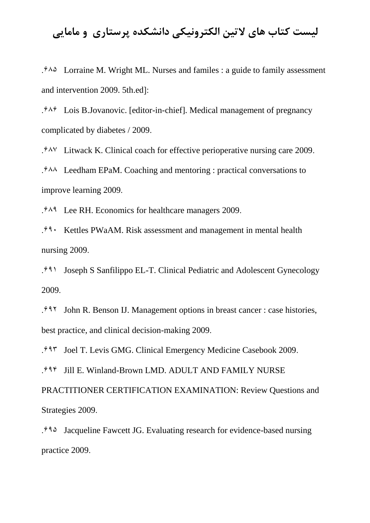$.683$  Lorraine M. Wright ML. Nurses and familes : a guide to family assessment and intervention 2009. 5th.ed]:

. $646$  Lois B.Jovanovic. [editor-in-chief]. Medical management of pregnancy complicated by diabetes / 2009.

 $.687$  Litwack K. Clinical coach for effective perioperative nursing care 2009.  $.68\text{A}$  Leedham EPaM. Coaching and mentoring : practical conversations to improve learning 2009.

 $.688$  Lee RH. Economics for healthcare managers 2009.

 $.691$  Kettles PWaAM. Risk assessment and management in mental health nursing 2009.

.691 Joseph S Sanfilippo EL-T. Clinical Pediatric and Adolescent Gynecology 2009.

 $.693$  John R. Benson IJ. Management options in breast cancer : case histories, best practice, and clinical decision-making 2009.

.693 Joel T. Levis GMG. Clinical Emergency Medicine Casebook 2009.

.694 Jill E. Winland-Brown LMD. ADULT AND FAMILY NURSE

PRACTITIONER CERTIFICATION EXAMINATION: Review Questions and Strategies 2009.

 $.693$  Jacqueline Fawcett JG. Evaluating research for evidence-based nursing practice 2009.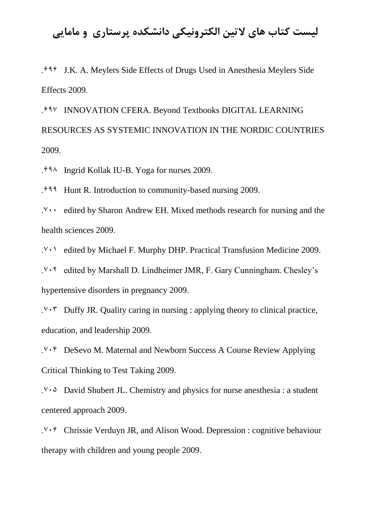.696 J.K. A. Meylers Side Effects of Drugs Used in Anesthesia Meylers Side Effects 2009.

.697 INNOVATION CFERA. Beyond Textbooks DIGITAL LEARNING RESOURCES AS SYSTEMIC INNOVATION IN THE NORDIC COUNTRIES 2009.

. $94\text{A}$  Ingrid Kollak IU-B. Yoga for nurses 2009.

.699 Hunt R. Introduction to community-based nursing 2009.

 $.1111$ . The set of the Sharon Andrew EH. Mixed methods research for nursing and the health sciences 2009.

 $.1111$  edited by Michael F. Murphy DHP. Practical Transfusion Medicine 2009.

.712 edited by Marshall D. Lindheimer JMR, F. Gary Cunningham. Chesley's hypertensive disorders in pregnancy 2009.

 $.113$ . Duffy JR. Quality caring in nursing : applying theory to clinical practice, education, and leadership 2009.

 $.144$  DeSevo M. Maternal and Newborn Success A Course Review Applying Critical Thinking to Test Taking 2009.

 $.1113$ . David Shubert JL. Chemistry and physics for nurse anesthesia : a student centered approach 2009.

.<sup> $\forall \cdot \hat{r}$ </sup> Chrissie Verduyn JR, and Alison Wood. Depression : cognitive behaviour therapy with children and young people 2009.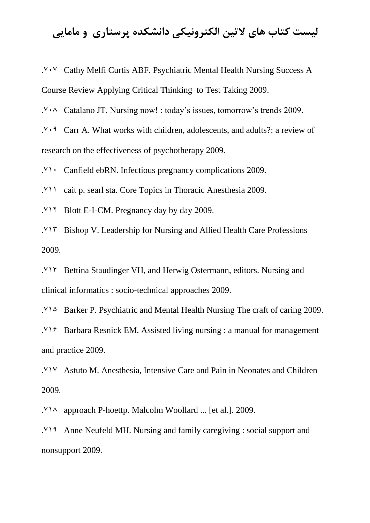.717 Cathy Melfi Curtis ABF. Psychiatric Mental Health Nursing Success A Course Review Applying Critical Thinking to Test Taking 2009.

.<sup> $\forall \cdot \land$ </sup> Catalano JT. Nursing now! : today's issues, tomorrow's trends 2009.

.<sup> $V \cdot$ 9</sup> Carr A. What works with children, adolescents, and adults?: a review of research on the effectiveness of psychotherapy 2009.

. $Y \cdot$  Canfield ebRN. Infectious pregnancy complications 2009.

.711 cait p. searl sta. Core Topics in Thoracic Anesthesia 2009.

.712 Blott E-I-CM. Pregnancy day by day 2009.

.713 Bishop V. Leadership for Nursing and Allied Health Care Professions 2009.

.714 Bettina Staudinger VH, and Herwig Ostermann, editors. Nursing and clinical informatics : socio-technical approaches 2009.

.715 Barker P. Psychiatric and Mental Health Nursing The craft of caring 2009.

.<sup> $196$ </sup> Barbara Resnick EM. Assisted living nursing : a manual for management and practice 2009.

.717 Astuto M. Anesthesia, Intensive Care and Pain in Neonates and Children 2009.

.718 approach P-hoettp. Malcolm Woollard ... [et al.]. 2009.

.719 Anne Neufeld MH. Nursing and family caregiving : social support and nonsupport 2009.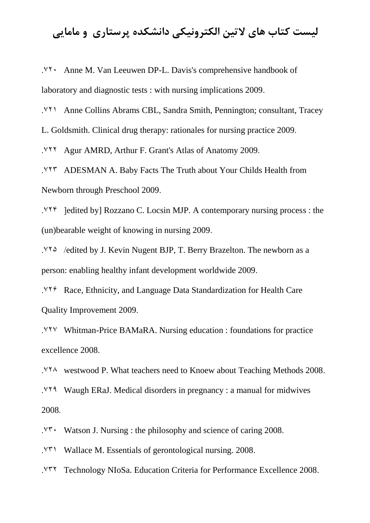$.97 \cdot$  Anne M. Van Leeuwen DP-L. Davis's comprehensive handbook of laboratory and diagnostic tests : with nursing implications 2009.

.721 Anne Collins Abrams CBL, Sandra Smith, Pennington; consultant, Tracey

L. Goldsmith. Clinical drug therapy: rationales for nursing practice 2009.

.722 Agur AMRD, Arthur F. Grant's Atlas of Anatomy 2009.

.723 ADESMAN A. Baby Facts The Truth about Your Childs Health from Newborn through Preschool 2009.

.<sup> $\forall$ 7°</sup> [edited by] Rozzano C. Locsin MJP. A contemporary nursing process : the (un)bearable weight of knowing in nursing 2009.

.725 /edited by J. Kevin Nugent BJP, T. Berry Brazelton. The newborn as a person: enabling healthy infant development worldwide 2009.

 $.1976$  Race, Ethnicity, and Language Data Standardization for Health Care Quality Improvement 2009.

.727 Whitman-Price BAMaRA. Nursing education : foundations for practice excellence 2008.

.728 westwood P. What teachers need to Knoew about Teaching Methods 2008.

.729 Waugh ERaJ. Medical disorders in pregnancy : a manual for midwives 2008.

. $14.77 \cdot$  Watson J. Nursing : the philosophy and science of caring 2008.

.731 Wallace M. Essentials of gerontological nursing. 2008.

.732 Technology NIoSa. Education Criteria for Performance Excellence 2008.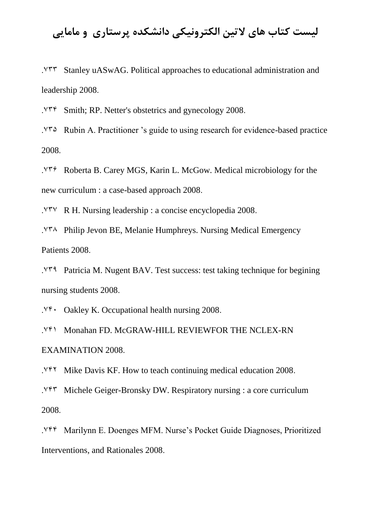.733 Stanley uASwAG. Political approaches to educational administration and leadership 2008.

.734 Smith; RP. Netter's obstetrics and gynecology 2008.

.735 Rubin A. Practitioner 's guide to using research for evidence-based practice 2008.

. $1476$  Roberta B. Carey MGS, Karin L. McGow. Medical microbiology for the new curriculum : a case-based approach 2008.

.737 R H. Nursing leadership : a concise encyclopedia 2008.

.738 Philip Jevon BE, Melanie Humphreys. Nursing Medical Emergency Patients 2008.

 $.979$  Patricia M. Nugent BAV. Test success: test taking technique for begining nursing students 2008.

. $V^{\varphi}$  Oakley K. Occupational health nursing 2008.

.741 Monahan FD. McGRAW-HILL REVIEWFOR THE NCLEX-RN EXAMINATION 2008.

.742 Mike Davis KF. How to teach continuing medical education 2008.

.743 Michele Geiger-Bronsky DW. Respiratory nursing : a core curriculum 2008.

.744 Marilynn E. Doenges MFM. Nurse's Pocket Guide Diagnoses, Prioritized Interventions, and Rationales 2008.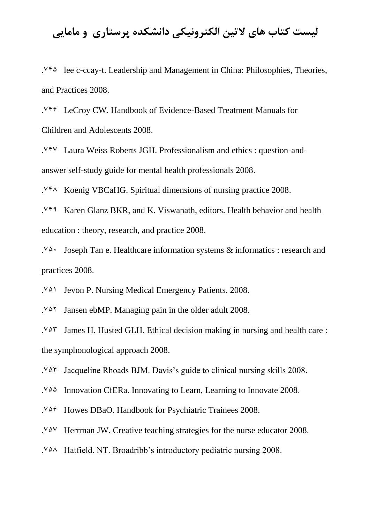.745 lee c-ccay-t. Leadership and Management in China: Philosophies, Theories, and Practices 2008.

.746 LeCroy CW. Handbook of Evidence-Based Treatment Manuals for Children and Adolescents 2008.

.747 Laura Weiss Roberts JGH. Professionalism and ethics : question-andanswer self-study guide for mental health professionals 2008.

.748 Koenig VBCaHG. Spiritual dimensions of nursing practice 2008.

.749 Karen Glanz BKR, and K. Viswanath, editors. Health behavior and health education : theory, research, and practice 2008.

. $\forall \Delta$ . Joseph Tan e. Healthcare information systems & informatics : research and practices 2008.

.751 Jevon P. Nursing Medical Emergency Patients. 2008.

.752 Jansen ebMP. Managing pain in the older adult 2008.

.753 James H. Husted GLH. Ethical decision making in nursing and health care : the symphonological approach 2008.

.754 Jacqueline Rhoads BJM. Davis's guide to clinical nursing skills 2008.

.755 Innovation CfERa. Innovating to Learn, Learning to Innovate 2008.

.756 Howes DBaO. Handbook for Psychiatric Trainees 2008.

.757 Herrman JW. Creative teaching strategies for the nurse educator 2008.

.758 Hatfield. NT. Broadribb's introductory pediatric nursing 2008.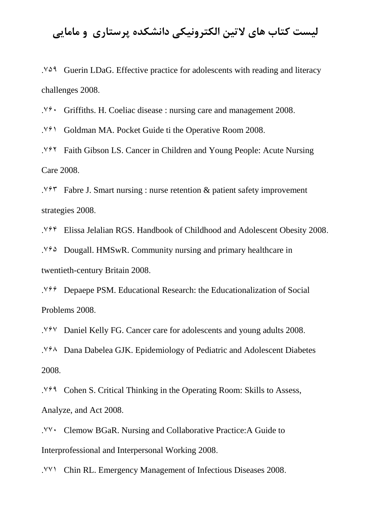.759 Guerin LDaG. Effective practice for adolescents with reading and literacy challenges 2008.

.76. Griffiths. H. Coeliac disease : nursing care and management 2008.

.761 Goldman MA. Pocket Guide ti the Operative Room 2008.

.762 Faith Gibson LS. Cancer in Children and Young People: Acute Nursing Care 2008.

.763 Fabre J. Smart nursing : nurse retention & patient safety improvement strategies 2008.

.764 Elissa Jelalian RGS. Handbook of Childhood and Adolescent Obesity 2008.

 $.1962$  Dougall. HMSwR. Community nursing and primary healthcare in twentieth-century Britain 2008.

 $.1966$  Depaepe PSM. Educational Research: the Educationalization of Social Problems 2008.

.767 Daniel Kelly FG. Cancer care for adolescents and young adults 2008.

.768 Dana Dabelea GJK. Epidemiology of Pediatric and Adolescent Diabetes 2008.

.769 Cohen S. Critical Thinking in the Operating Room: Skills to Assess, Analyze, and Act 2008.

.771 Clemow BGaR. Nursing and Collaborative Practice:A Guide to Interprofessional and Interpersonal Working 2008.

.771 Chin RL. Emergency Management of Infectious Diseases 2008.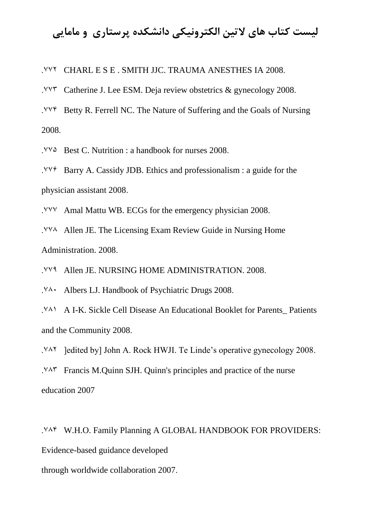.772 CHARL E S E . SMITH JJC. TRAUMA ANESTHES IA 2008.

.773 Catherine J. Lee ESM. Deja review obstetrics & gynecology 2008.

.774 Betty R. Ferrell NC. The Nature of Suffering and the Goals of Nursing 2008.

.775 Best C. Nutrition : a handbook for nurses 2008.

.796 Barry A. Cassidy JDB. Ethics and professionalism : a guide for the physician assistant 2008.

.777 Amal Mattu WB. ECGs for the emergency physician 2008.

.778 Allen JE. The Licensing Exam Review Guide in Nursing Home Administration. 2008.

.779 Allen JE. NURSING HOME ADMINISTRATION. 2008.

.781 Albers LJ. Handbook of Psychiatric Drugs 2008.

.781 A I-K. Sickle Cell Disease An Educational Booklet for Parents\_ Patients and the Community 2008.

.782 [edited by] John A. Rock HWJI. Te Linde's operative gynecology 2008.

.783 Francis M.Quinn SJH. Quinn's principles and practice of the nurse education 2007

.784 W.H.O. Family Planning A GLOBAL HANDBOOK FOR PROVIDERS: Evidence-based guidance developed through worldwide collaboration 2007.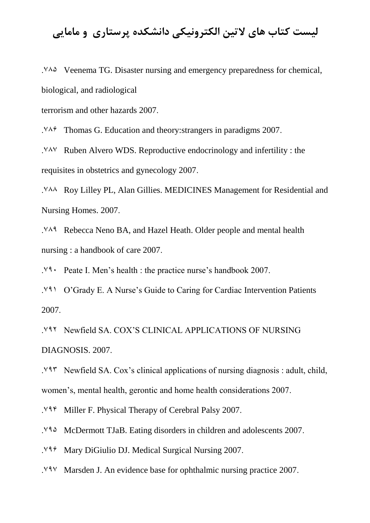$.944$  Veenema TG. Disaster nursing and emergency preparedness for chemical, biological, and radiological

terrorism and other hazards 2007.

.746 Thomas G. Education and theory: strangers in paradigms 2007.

.787 Ruben Alvero WDS. Reproductive endocrinology and infertility : the requisites in obstetrics and gynecology 2007.

.788 Roy Lilley PL, Alan Gillies. MEDICINES Management for Residential and Nursing Homes. 2007.

.<sup>VA9</sup> Rebecca Neno BA, and Hazel Heath. Older people and mental health nursing : a handbook of care 2007.

 $.91 \cdot$  Peate I. Men's health : the practice nurse's handbook 2007.

.791 O'Grady E. A Nurse's Guide to Caring for Cardiac Intervention Patients 2007.

.792 Newfield SA. COX'S CLINICAL APPLICATIONS OF NURSING DIAGNOSIS. 2007.

.793 Newfield SA. Cox's clinical applications of nursing diagnosis : adult, child, women's, mental health, gerontic and home health considerations 2007.

.794 Miller F. Physical Therapy of Cerebral Palsy 2007.

.795 McDermott TJaB. Eating disorders in children and adolescents 2007.

.796 Mary DiGiulio DJ. Medical Surgical Nursing 2007.

.797 Marsden J. An evidence base for ophthalmic nursing practice 2007.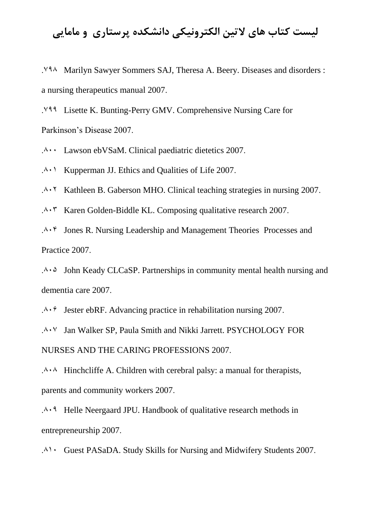.798 Marilyn Sawyer Sommers SAJ, Theresa A. Beery. Diseases and disorders : a nursing therapeutics manual 2007.

.799 Lisette K. Bunting-Perry GMV. Comprehensive Nursing Care for Parkinson's Disease 2007.

 $\cdot$ <sup>A</sup> $\cdot$  Lawson ebVSaM. Clinical paediatric dietetics 2007.

 $.811$  Kupperman JJ. Ethics and Qualities of Life 2007.

 $.812$ . Kathleen B. Gaberson MHO. Clinical teaching strategies in nursing 2007.

 $.81$ <sup>6</sup> Karen Golden-Biddle KL. Composing qualitative research 2007.

 $.81$ <sup>6</sup> Jones R. Nursing Leadership and Management Theories Processes and Practice 2007.

.<sup>81</sup> John Keady CLCaSP. Partnerships in community mental health nursing and dementia care 2007.

. $\lambda \cdot \hat{z}$  Jester ebRF. Advancing practice in rehabilitation nursing 2007.

.817 Jan Walker SP, Paula Smith and Nikki Jarrett. PSYCHOLOGY FOR NURSES AND THE CARING PROFESSIONS 2007.

 $.818$  Hinchcliffe A. Children with cerebral palsy: a manual for therapists, parents and community workers 2007.

 $.819$  Helle Neergaard JPU. Handbook of qualitative research methods in entrepreneurship 2007.

.811 Guest PASaDA. Study Skills for Nursing and Midwifery Students 2007.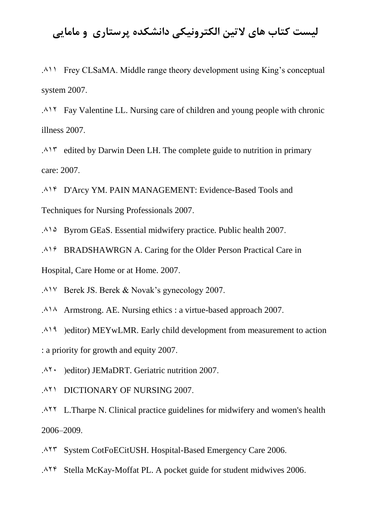.811 Frey CLSaMA. Middle range theory development using King's conceptual system 2007.

.812 Fay Valentine LL. Nursing care of children and young people with chronic illness 2007.

 $.815$  edited by Darwin Deen LH. The complete guide to nutrition in primary care: 2007.

.814 D'Arcy YM. PAIN MANAGEMENT: Evidence-Based Tools and Techniques for Nursing Professionals 2007.

.815 Byrom GEaS. Essential midwifery practice. Public health 2007.

. $18.8$  BRADSHAWRGN A. Caring for the Older Person Practical Care in Hospital, Care Home or at Home. 2007.

.817 Berek JS. Berek & Novak's gynecology 2007.

.818 Armstrong. AE. Nursing ethics : a virtue-based approach 2007.

.<sup>819</sup> (editor) MEYwLMR. Early child development from measurement to action : a priority for growth and equity 2007.

. $81 \cdot \text{V}$  (editor) JEMaDRT. Geriatric nutrition 2007.

.AT DICTIONARY OF NURSING 2007.

 $.827$  L.Tharpe N. Clinical practice guidelines for midwifery and women's health 2006–2009.

.823 System CotFoECitUSH. Hospital-Based Emergency Care 2006.

.824 Stella McKay-Moffat PL. A pocket guide for student midwives 2006.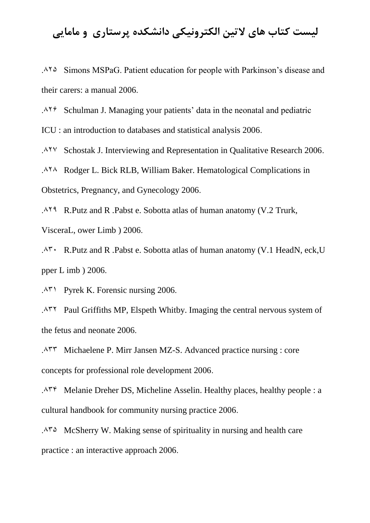.825 Simons MSPaG. Patient education for people with Parkinson's disease and their carers: a manual 2006.

 $.826$  Schulman J. Managing your patients' data in the neonatal and pediatric

ICU : an introduction to databases and statistical analysis 2006.

.827 Schostak J. Interviewing and Representation in Qualitative Research 2006.

.828 Rodger L. Bick RLB, William Baker. Hematological Complications in Obstetrics, Pregnancy, and Gynecology 2006.

 $.819$  R.Putz and R. Pabst e. Sobotta atlas of human anatomy (V.2 Trurk, VisceraL, ower Limb ) 2006.

.<sup>84</sup> R.Putz and R .Pabst e. Sobotta atlas of human anatomy (V.1 HeadN, eck, U pper L imb ) 2006.

 $.871$  Pyrek K. Forensic nursing 2006.

.832 Paul Griffiths MP, Elspeth Whitby. Imaging the central nervous system of the fetus and neonate 2006.

.833 Michaelene P. Mirr Jansen MZ-S. Advanced practice nursing : core concepts for professional role development 2006.

.834 Melanie Dreher DS, Micheline Asselin. Healthy places, healthy people : a cultural handbook for community nursing practice 2006.

 $.858$  McSherry W. Making sense of spirituality in nursing and health care practice : an interactive approach 2006.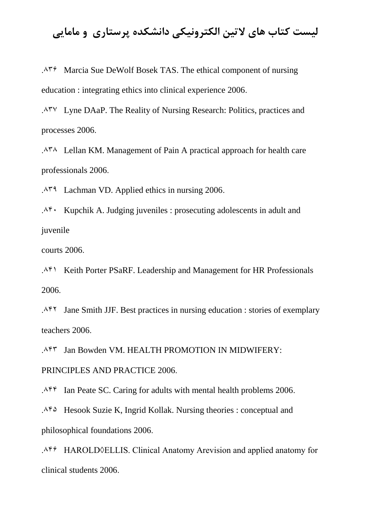$.87\%$  Marcia Sue DeWolf Bosek TAS. The ethical component of nursing education : integrating ethics into clinical experience 2006.

.837 Lyne DAaP. The Reality of Nursing Research: Politics, practices and processes 2006.

. $1888$  Lellan KM. Management of Pain A practical approach for health care professionals 2006.

.839 Lachman VD. Applied ethics in nursing 2006.

 $.84$ <sup>.</sup> Kupchik A. Judging juveniles : prosecuting adolescents in adult and juvenile

courts 2006.

.841 Keith Porter PSaRF. Leadership and Management for HR Professionals 2006.

 $.85$  Jane Smith JJF. Best practices in nursing education : stories of exemplary teachers 2006.

. AFT Jan Bowden VM. HEALTH PROMOTION IN MIDWIFERY:

PRINCIPLES AND PRACTICE 2006.

 $.844$  Ian Peate SC. Caring for adults with mental health problems 2006.

 $.848$  Hesook Suzie K, Ingrid Kollak. Nursing theories : conceptual and philosophical foundations 2006.

.846 HAROLD◊ELLIS. Clinical Anatomy Arevision and applied anatomy for clinical students 2006.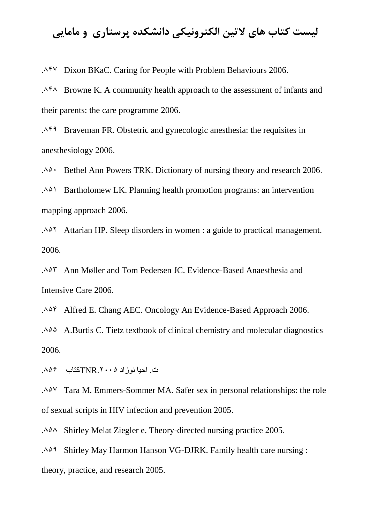.847 Dixon BKaC. Caring for People with Problem Behaviours 2006.

 $.848$  Browne K. A community health approach to the assessment of infants and their parents: the care programme 2006.

 $.849$  Braveman FR. Obstetric and gynecologic anesthesia: the requisites in anesthesiology 2006.

 $.84 \cdot$  Bethel Ann Powers TRK. Dictionary of nursing theory and research 2006.

 $.821$  Bartholomew LK. Planning health promotion programs: an intervention mapping approach 2006.

.852 Attarian HP. Sleep disorders in women : a guide to practical management. 2006.

.853 Ann Møller and Tom Pedersen JC. Evidence-Based Anaesthesia and Intensive Care 2006.

.854 Alfred E. Chang AEC. Oncology An Evidence-Based Approach 2006.

.855 A.Burtis C. Tietz textbook of clinical chemistry and molecular diagnostics 2006.

ت. احیا نوز اد ۲۰۰۵.TNRکتاب م۸۵۶.

.857 Tara M. Emmers-Sommer MA. Safer sex in personal relationships: the role of sexual scripts in HIV infection and prevention 2005.

.858 Shirley Melat Ziegler e. Theory-directed nursing practice 2005.

.859 Shirley May Harmon Hanson VG-DJRK. Family health care nursing : theory, practice, and research 2005.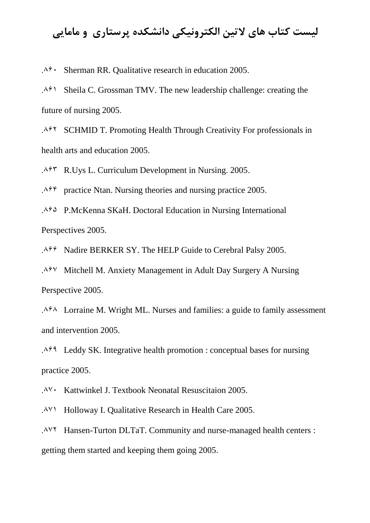. $1.87 \cdot$  Sherman RR. Qualitative research in education 2005.

. $\lambda$ <sup> $\gamma$ </sup> Sheila C. Grossman TMV. The new leadership challenge: creating the future of nursing 2005.

 $.87^{\circ}$  SCHMID T. Promoting Health Through Creativity For professionals in health arts and education 2005.

.863 R.Uys L. Curriculum Development in Nursing. 2005.

 $.864$  practice Ntan. Nursing theories and nursing practice 2005.

.865 P.McKenna SKaH. Doctoral Education in Nursing International Perspectives 2005.

.<sup>196</sup> Nadire BERKER SY. The HELP Guide to Cerebral Palsy 2005.

.867 Mitchell M. Anxiety Management in Adult Day Surgery A Nursing Perspective 2005.

 $.868$  Lorraine M. Wright ML. Nurses and families: a guide to family assessment and intervention 2005.

 $.859$  Leddy SK. Integrative health promotion : conceptual bases for nursing practice 2005.

.871 Kattwinkel J. Textbook Neonatal Resuscitaion 2005.

.871 Holloway I. Qualitative Research in Health Care 2005.

.872 Hansen-Turton DLTaT. Community and nurse-managed health centers : getting them started and keeping them going 2005.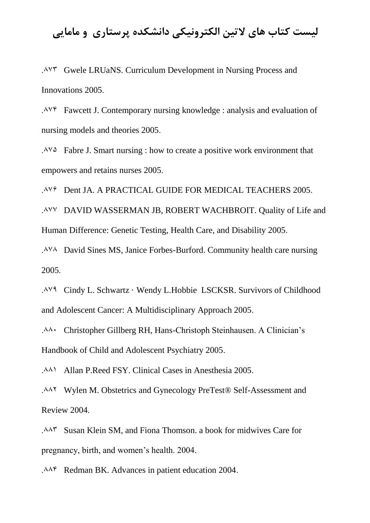.873 Gwele LRUaNS. Curriculum Development in Nursing Process and Innovations 2005.

.874 Fawcett J. Contemporary nursing knowledge : analysis and evaluation of nursing models and theories 2005.

 $.884$  Fabre J. Smart nursing : how to create a positive work environment that empowers and retains nurses 2005.

.876 Dent JA. A PRACTICAL GUIDE FOR MEDICAL TEACHERS 2005.

.877 DAVID WASSERMAN JB, ROBERT WACHBROIT. Quality of Life and Human Difference: Genetic Testing, Health Care, and Disability 2005.

.878 David Sines MS, Janice Forbes-Burford. Community health care nursing 2005.

.879 Cindy L. Schwartz · Wendy L.Hobbie LSCKSR. Survivors of Childhood and Adolescent Cancer: A Multidisciplinary Approach 2005.

.881 Christopher Gillberg RH, Hans-Christoph Steinhausen. A Clinician's Handbook of Child and Adolescent Psychiatry 2005.

.881 Allan P.Reed FSY. Clinical Cases in Anesthesia 2005.

.882 Wylen M. Obstetrics and Gynecology PreTest® Self-Assessment and Review 2004.

.883 Susan Klein SM, and Fiona Thomson. a book for midwives Care for pregnancy, birth, and women's health. 2004.

.884 Redman BK. Advances in patient education 2004.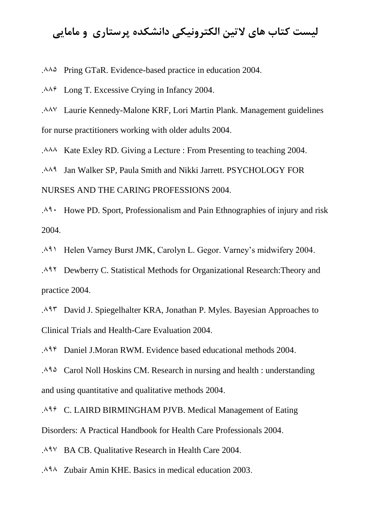.885 Pring GTaR. Evidence-based practice in education 2004.

. $\lambda \lambda$  Long T. Excessive Crying in Infancy 2004.

.887 Laurie Kennedy-Malone KRF, Lori Martin Plank. Management guidelines for nurse practitioners working with older adults 2004.

.888 Kate Exley RD. Giving a Lecture : From Presenting to teaching 2004.

.889 Jan Walker SP, Paula Smith and Nikki Jarrett. PSYCHOLOGY FOR

NURSES AND THE CARING PROFESSIONS 2004.

.891. Howe PD. Sport, Professionalism and Pain Ethnographies of injury and risk 2004.

.891 Helen Varney Burst JMK, Carolyn L. Gegor. Varney's midwifery 2004.

.892 Dewberry C. Statistical Methods for Organizational Research:Theory and practice 2004.

.893 David J. Spiegelhalter KRA, Jonathan P. Myles. Bayesian Approaches to Clinical Trials and Health-Care Evaluation 2004.

.894 Daniel J.Moran RWM. Evidence based educational methods 2004.

.895 Carol Noll Hoskins CM. Research in nursing and health : understanding and using quantitative and qualitative methods 2004.

.896 C. LAIRD BIRMINGHAM PJVB. Medical Management of Eating Disorders: A Practical Handbook for Health Care Professionals 2004.

.897 BA CB. Qualitative Research in Health Care 2004.

.898 Zubair Amin KHE. Basics in medical education 2003.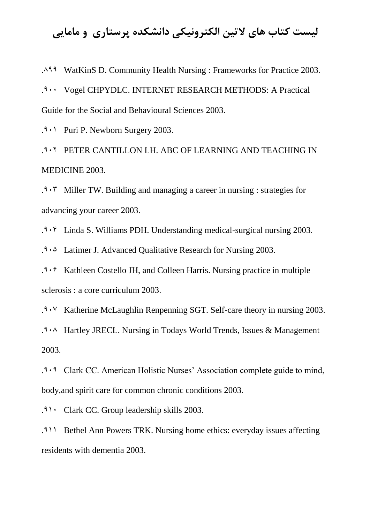.899 WatKinS D. Community Health Nursing : Frameworks for Practice 2003. .911 Vogel CHPYDLC. INTERNET RESEARCH METHODS: A Practical Guide for the Social and Behavioural Sciences 2003.

.911 Puri P. Newborn Surgery 2003.

.912 PETER CANTILLON LH. ABC OF LEARNING AND TEACHING IN MEDICINE 2003.

 $.9.5$  Miller TW. Building and managing a career in nursing : strategies for advancing your career 2003.

.914 Linda S. Williams PDH. Understanding medical-surgical nursing 2003.

.9.0 Latimer J. Advanced Qualitative Research for Nursing 2003.

.9.6 Kathleen Costello JH, and Colleen Harris. Nursing practice in multiple sclerosis : a core curriculum 2003.

.917 Katherine McLaughlin Renpenning SGT. Self-care theory in nursing 2003.

.9.8 Hartley JRECL. Nursing in Todays World Trends, Issues & Management 2003.

.919 Clark CC. American Holistic Nurses' Association complete guide to mind, body,and spirit care for common chronic conditions 2003.

.<sup>91</sup> Clark CC. Group leadership skills 2003.

.911 Bethel Ann Powers TRK. Nursing home ethics: everyday issues affecting residents with dementia 2003.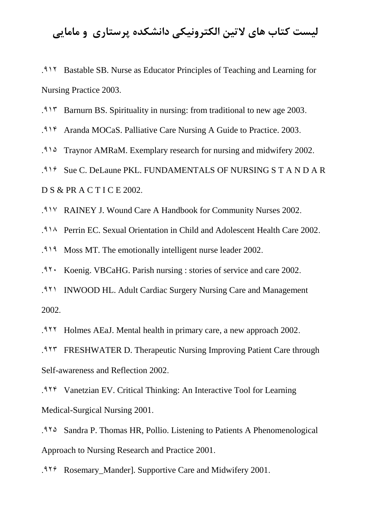.912 Bastable SB. Nurse as Educator Principles of Teaching and Learning for Nursing Practice 2003.

.913 Barnurn BS. Spirituality in nursing: from traditional to new age 2003.

.914 Aranda MOCaS. Palliative Care Nursing A Guide to Practice. 2003.

.915 Traynor AMRaM. Exemplary research for nursing and midwifery 2002.

.916 Sue C. DeLaune PKL. FUNDAMENTALS OF NURSING S T A N D A R D S & PR A C T I C E 2002.

.917 RAINEY J. Wound Care A Handbook for Community Nurses 2002.

.918 Perrin EC. Sexual Orientation in Child and Adolescent Health Care 2002.

.919 Moss MT. The emotionally intelligent nurse leader 2002.

.97 Koenig. VBCaHG. Parish nursing : stories of service and care 2002.

.921 INWOOD HL. Adult Cardiac Surgery Nursing Care and Management 2002.

.922 Holmes AEaJ. Mental health in primary care, a new approach 2002.

.923 FRESHWATER D. Therapeutic Nursing Improving Patient Care through Self-awareness and Reflection 2002.

.924 Vanetzian EV. Critical Thinking: An Interactive Tool for Learning Medical-Surgical Nursing 2001.

.925 Sandra P. Thomas HR, Pollio. Listening to Patients A Phenomenological Approach to Nursing Research and Practice 2001.

.926 Rosemary\_Mander]. Supportive Care and Midwifery 2001.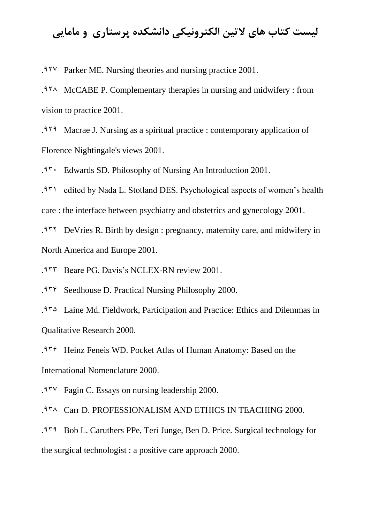## **لیست کتاب های التین الکترونیکی دانشکده پرستاری و مامایی**

.927 Parker ME. Nursing theories and nursing practice 2001.

.938 McCABE P. Complementary therapies in nursing and midwifery : from vision to practice 2001.

.929 Macrae J. Nursing as a spiritual practice : contemporary application of Florence Nightingale's views 2001.

.931 Edwards SD. Philosophy of Nursing An Introduction 2001.

.931 edited by Nada L. Stotland DES. Psychological aspects of women's health care : the interface between psychiatry and obstetrics and gynecology 2001.

.932 DeVries R. Birth by design : pregnancy, maternity care, and midwifery in North America and Europe 2001.

.944 Beare PG. Davis's NCLEX-RN review 2001.

.934 Seedhouse D. Practical Nursing Philosophy 2000.

.935 Laine Md. Fieldwork, Participation and Practice: Ethics and Dilemmas in Qualitative Research 2000.

.936 Heinz Feneis WD. Pocket Atlas of Human Anatomy: Based on the International Nomenclature 2000.

.937 Fagin C. Essays on nursing leadership 2000.

.938 Carr D. PROFESSIONALISM AND ETHICS IN TEACHING 2000.

.939 Bob L. Caruthers PPe, Teri Junge, Ben D. Price. Surgical technology for the surgical technologist : a positive care approach 2000.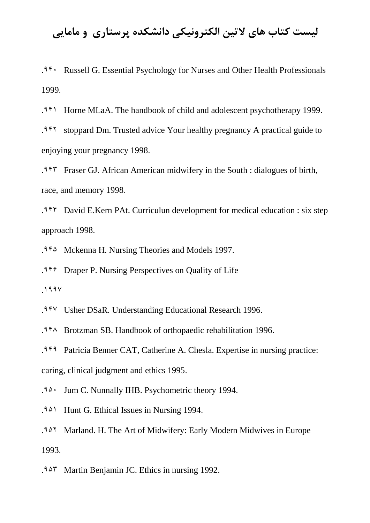## **لیست کتاب های التین الکترونیکی دانشکده پرستاری و مامایی**

.941 Russell G. Essential Psychology for Nurses and Other Health Professionals 1999.

.941 Horne MLaA. The handbook of child and adolescent psychotherapy 1999.

.942 stoppard Dm. Trusted advice Your healthy pregnancy A practical guide to enjoying your pregnancy 1998.

.943 Fraser GJ. African American midwifery in the South : dialogues of birth, race, and memory 1998.

.944 David E.Kern PAt. Curriculun development for medical education : six step approach 1998.

.945 Mckenna H. Nursing Theories and Models 1997.

.946 Draper P. Nursing Perspectives on Quality of Life

.1997

.947 Usher DSaR. Understanding Educational Research 1996.

.948 Brotzman SB. Handbook of orthopaedic rehabilitation 1996.

.949 Patricia Benner CAT, Catherine A. Chesla. Expertise in nursing practice: caring, clinical judgment and ethics 1995.

.94 $\cdot$  Jum C. Nunnally IHB. Psychometric theory 1994.

.951 Hunt G. Ethical Issues in Nursing 1994.

.952 Marland. H. The Art of Midwifery: Early Modern Midwives in Europe 1993.

.953 Martin Benjamin JC. Ethics in nursing 1992.